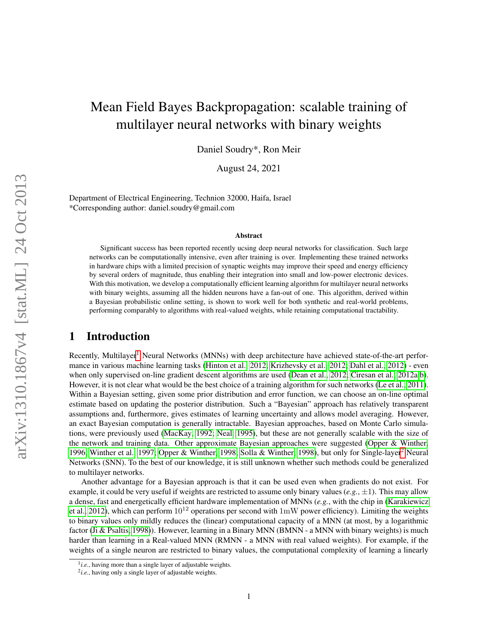# Mean Field Bayes Backpropagation: scalable training of multilayer neural networks with binary weights

Daniel Soudry\*, Ron Meir

August 24, 2021

Department of Electrical Engineering, Technion 32000, Haifa, Israel \*Corresponding author: daniel.soudry@gmail.com

#### Abstract

Significant success has been reported recently ucsing deep neural networks for classification. Such large networks can be computationally intensive, even after training is over. Implementing these trained networks in hardware chips with a limited precision of synaptic weights may improve their speed and energy efficiency by several orders of magnitude, thus enabling their integration into small and low-power electronic devices. With this motivation, we develop a computationally efficient learning algorithm for multilayer neural networks with binary weights, assuming all the hidden neurons have a fan-out of one. This algorithm, derived within a Bayesian probabilistic online setting, is shown to work well for both synthetic and real-world problems, performing comparably to algorithms with real-valued weights, while retaining computational tractability.

# 1 Introduction

 $Recently, Multilayer<sup>1</sup> Neural Networks (MNNs) with deep architecture have achieved state-of-the-art performance.$  $Recently, Multilayer<sup>1</sup> Neural Networks (MNNs) with deep architecture have achieved state-of-the-art performance.$  $Recently, Multilayer<sup>1</sup> Neural Networks (MNNs) with deep architecture have achieved state-of-the-art performance.$ mance in various machine learning tasks [\(Hinton et al., 2012;](#page-11-0) [Krizhevsky et al., 2012;](#page-11-1) [Dahl et al., 2012\)](#page-11-2) - even when only supervised on-line gradient descent algorithms are used [\(Dean et al., 2012;](#page-11-3) [Ciresan et al., 2012a,](#page-11-4)[b\)](#page-11-5). However, it is not clear what would be the best choice of a training algorithm for such networks [\(Le et al., 2011\)](#page-11-6). Within a Bayesian setting, given some prior distribution and error function, we can choose an on-line optimal estimate based on updating the posterior distribution. Such a "Bayesian" approach has relatively transparent assumptions and, furthermore, gives estimates of learning uncertainty and allows model averaging. However, an exact Bayesian computation is generally intractable. Bayesian approaches, based on Monte Carlo simulations, were previously used [\(MacKay, 1992;](#page-12-0) [Neal, 1995\)](#page-12-1), but these are not generally scalable with the size of the network and training data. Other approximate Bayesian approaches were suggested [\(Opper & Winther,](#page-12-2) [1996;](#page-12-2) [Winther et al., 1997;](#page-12-3) [Opper & Winther, 1998;](#page-12-4) [Solla & Winther, 1998\)](#page-12-5), but only for Single-layer[2](#page-0-1) Neural Networks (SNN). To the best of our knowledge, it is still unknown whether such methods could be generalized to multilayer networks.

Another advantage for a Bayesian approach is that it can be used even when gradients do not exist. For example, it could be very useful if weights are restricted to assume only binary values  $(e.g., \pm 1)$ . This may allow a dense, fast and energetically efficient hardware implementation of MNNs (*e.g.*, with the chip in [\(Karakiewicz](#page-11-7) [et al., 2012\)](#page-11-7), which can perform  $10^{12}$  operations per second with 1mW power efficiency). Limiting the weights to binary values only mildly reduces the (linear) computational capacity of a MNN (at most, by a logarithmic factor [\(Ji & Psaltis, 1998\)](#page-11-8)). However, learning in a Binary MNN (BMNN - a MNN with binary weights) is much harder than learning in a Real-valued MNN (RMNN - a MNN with real valued weights). For example, if the weights of a single neuron are restricted to binary values, the computational complexity of learning a linearly

<span id="page-0-0"></span><sup>&</sup>lt;sup>1</sup>*i.e.*, having more than a single layer of adjustable weights.

<span id="page-0-1"></span><sup>2</sup> *i.e.*, having only a single layer of adjustable weights.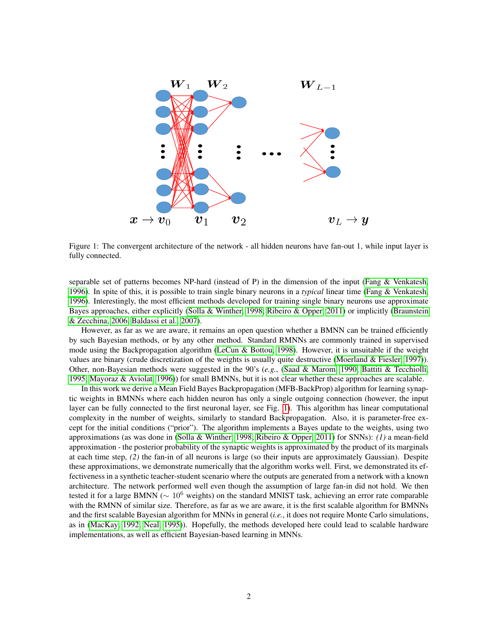

<span id="page-1-0"></span>Figure 1: The convergent architecture of the network - all hidden neurons have fan-out 1, while input layer is fully connected.

separable set of patterns becomes NP-hard (instead of P) in the dimension of the input [\(Fang & Venkatesh,](#page-11-9) [1996\)](#page-11-9). In spite of this, it is possible to train single binary neurons in a *typical* linear time [\(Fang & Venkatesh,](#page-11-9) [1996\)](#page-11-9). Interestingly, the most efficient methods developed for training single binary neurons use approximate Bayes approaches, either explicitly [\(Solla & Winther, 1998;](#page-12-5) [Ribeiro & Opper, 2011\)](#page-12-6) or implicitly [\(Braunstein](#page-11-10) [& Zecchina, 2006;](#page-11-10) [Baldassi et al., 2007\)](#page-11-11).

However, as far as we are aware, it remains an open question whether a BMNN can be trained efficiently by such Bayesian methods, or by any other method. Standard RMNNs are commonly trained in supervised mode using the Backpropagation algorithm [\(LeCun & Bottou, 1998\)](#page-11-12). However, it is unsuitable if the weight values are binary (crude discretization of the weights is usually quite destructive [\(Moerland & Fiesler, 1997\)](#page-12-7)). Other, non-Bayesian methods were suggested in the 90's (*e.g.*, [\(Saad & Marom, 1990;](#page-12-8) [Battiti & Tecchiolli,](#page-11-13) [1995;](#page-11-13) [Mayoraz & Aviolat, 1996\)](#page-12-9)) for small BMNNs, but it is not clear whether these approaches are scalable.

In this work we derive a Mean Field Bayes Backpropagation (MFB-BackProp) algorithm for learning synaptic weights in BMNNs where each hidden neuron has only a single outgoing connection (however, the input layer can be fully connected to the first neuronal layer, see Fig. [1\)](#page-1-0). This algorithm has linear computational complexity in the number of weights, similarly to standard Backpropagation. Also, it is parameter-free except for the initial conditions ("prior"). The algorithm implements a Bayes update to the weights, using two approximations (as was done in [\(Solla & Winther, 1998;](#page-12-5) [Ribeiro & Opper, 2011\)](#page-12-6) for SNNs): *(1)* a mean-field approximation - the posterior probability of the synaptic weights is approximated by the product of its marginals at each time step, *(2)* the fan-in of all neurons is large (so their inputs are approximately Gaussian). Despite these approximations, we demonstrate numerically that the algorithm works well. First, we demonstrated its effectiveness in a synthetic teacher-student scenario where the outputs are generated from a network with a known architecture. The network performed well even though the assumption of large fan-in did not hold. We then tested it for a large BMNN ( $\sim 10^6$  weights) on the standard MNIST task, achieving an error rate comparable with the RMNN of similar size. Therefore, as far as we are aware, it is the first scalable algorithm for BMNNs and the first scalable Bayesian algorithm for MNNs in general (*i.e.*, it does not require Monte Carlo simulations, as in [\(MacKay, 1992;](#page-12-0) [Neal, 1995\)](#page-12-1)). Hopefully, the methods developed here could lead to scalable hardware implementations, as well as efficient Bayesian-based learning in MNNs.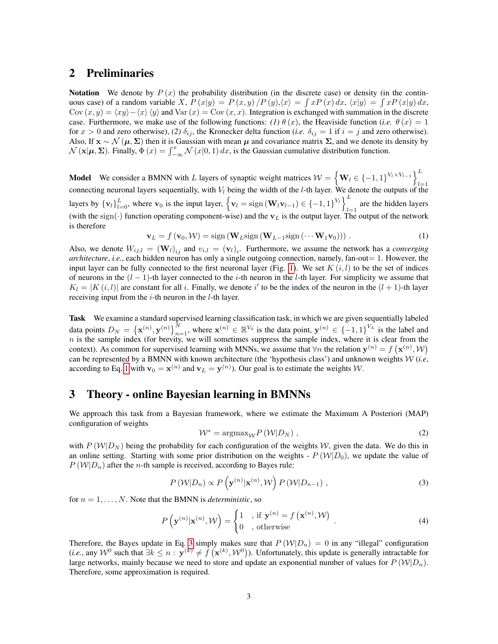# 2 Preliminaries

**Notation** We denote by  $P(x)$  the probability distribution (in the discrete case) or density (in the continuous case) of a random variable X,  $P(x|y) = P(x, y)/P(y), \langle x \rangle = \int xP(x) dx, \langle x|y \rangle = \int xP(x|y) dx,$ Cov  $(x, y) = \langle xy \rangle - \langle x \rangle \langle y \rangle$  and Var  $(x) = \text{Cov} (x, x)$ . Integration is exchanged with summation in the discrete case. Furthermore, we make use of the following functions: *(1)*  $\theta(x)$ , the Heaviside function *(i.e.*  $\theta(x) = 1$ for  $x > 0$  and zero otherwise), (2)  $\delta_{ij}$ , the Kronecker delta function (*i.e.*  $\delta_{ij} = 1$  if  $i = j$  and zero otherwise). Also, If  $x \sim \mathcal{N}(\mu, \Sigma)$  then it is Gaussian with mean  $\mu$  and covariance matrix  $\Sigma$ , and we denote its density by  $\mathcal{N}(\mathbf{x}|\boldsymbol{\mu}, \boldsymbol{\Sigma})$ . Finally,  $\Phi(x) = \int_{-\infty}^{x} \mathcal{N}(x|0, 1) dx$ , is the Gaussian cumulative distribution function.

**Model** We consider a BMNN with L layers of synaptic weight matrices  $W = \left\{ \mathbf{W}_l \in \{-1, 1\}^{V_l \times V_{l-1}} \right\}^L$ connecting neuronal layers sequentially, with  $V_l$  being the width of the l-th layer. We denote the outputs of the layers by  ${\bf v}_l \}_{l=0}^L$ , where  ${\bf v}_0$  is the input layer,  ${\bf v}_l = {\rm sign}({\bf W}_l{\bf v}_{l-1}) \in \{-1, 1\}^{V_l}$ are the hidden layers (with the sign( $\cdot$ ) function operating component-wise) and the  $v_L$  is the output layer. The output of the network is therefore

<span id="page-2-0"></span>
$$
\mathbf{v}_L = f(\mathbf{v}_0, \mathcal{W}) = \text{sign}\left(\mathbf{W}_L \text{sign}\left(\mathbf{W}_{L-1} \text{sign}\left(\cdots \mathbf{W}_1 \mathbf{v}_0\right)\right)\right). \tag{1}
$$

Also, we denote  $W_{ij,l} = (\mathbf{W}_l)_{ij}$  and  $v_{i,l} = (\mathbf{v}_l)_i$ . Furthermore, we assume the network has a *converging architecture*, *i.e.*, each hidden neuron has only a single outgoing connection, namely, fan-out= 1. However, the input layer can be fully connected to the first neuronal layer (Fig. [1\)](#page-1-0). We set  $K(i, l)$  to be the set of indices of neurons in the  $(l-1)$ -th layer connected to the i-th neuron in the l-th layer. For simplicity we assume that  $K_l = |K(i, l)|$  are constant for all i. Finally, we denote i' to be the index of the neuron in the  $(l + 1)$ -th layer receiving input from the  $i$ -th neuron in the  $l$ -th layer.

Task We examine a standard supervised learning classification task, in which we are given sequentially labeled data points  $D_N = {\{\mathbf{x}^{(n)}, \mathbf{y}^{(n)}\}}_{n=1}^N$ , where  $\mathbf{x}^{(n)} \in \mathbb{R}^{V_0}$  is the data point,  $\mathbf{y}^{(n)} \in {\{-1,1\}}^{V_L}$  is the label and  $n$  is the sample index (for brevity, we will sometimes suppress the sample index, where it is clear from the context). As common for supervised learning with MNNs, we assume that  $\forall n$  the relation  $\mathbf{y}^{(n)} = f(\mathbf{x}^{(n)}, \mathcal{W})$ can be represented by a BMNN with known architecture (the 'hypothesis class') and unknown weights W (*i.e*, according to Eq. [1](#page-2-0) with  $\mathbf{v}_0 = \mathbf{x}^{(n)}$  and  $\mathbf{v}_L = \mathbf{y}^{(n)}$ ). Our goal is to estimate the weights W.

# 3 Theory - online Bayesian learning in BMNNs

We approach this task from a Bayesian framework, where we estimate the Maximum A Posteriori (MAP) configuration of weights

<span id="page-2-2"></span>
$$
W^* = \operatorname{argmax}_{\mathcal{W}} P\left(\mathcal{W}|D_N\right),\tag{2}
$$

with  $P(W|D_N)$  being the probability for each configuration of the weights W, given the data. We do this in an online setting. Starting with some prior distribution on the weights -  $P(W|D_0)$ , we update the value of  $P(W|D_n)$  after the *n*-th sample is received, according to Bayes rule:

<span id="page-2-1"></span>
$$
P\left(\mathcal{W}|D_n\right) \propto P\left(\mathbf{y}^{(n)}|\mathbf{x}^{(n)},\mathcal{W}\right)P\left(\mathcal{W}|D_{n-1}\right)\,,\tag{3}
$$

for  $n = 1, \ldots, N$ . Note that the BMNN is *deterministic*, so

<span id="page-2-3"></span>
$$
P\left(\mathbf{y}^{(n)}|\mathbf{x}^{(n)},\mathcal{W}\right) = \begin{cases} 1, & \text{if } \mathbf{y}^{(n)} = f\left(\mathbf{x}^{(n)},\mathcal{W}\right) \\ 0, & \text{otherwise} \end{cases} \tag{4}
$$

Therefore, the Bayes update in Eq. [3](#page-2-1) simply makes sure that  $P(W|D_n) = 0$  in any "illegal" configuration (*i.e.*, any  $W^0$  such that  $\exists k \leq n : \mathbf{y}^{(k)} \neq f(\mathbf{x}^{(k)}, W^0)$ ). Unfortunately, this update is generally intractable for large networks, mainly because we need to store and update an exponential number of values for  $P (W|D_n)$ . Therefore, some approximation is required.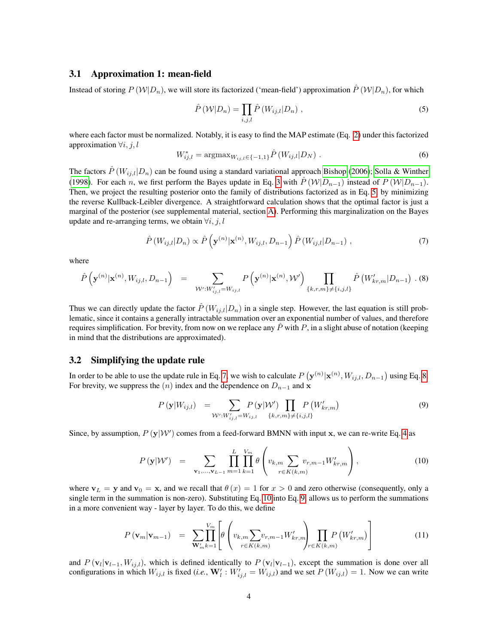### 3.1 Approximation 1: mean-field

Instead of storing  $P(W|D_n)$ , we will store its factorized ('mean-field') approximation  $\hat{P}(W|D_n)$ , for which

<span id="page-3-0"></span>
$$
\hat{P}(W|D_n) = \prod_{i,j,l} \hat{P}(W_{ij,l}|D_n) ,
$$
\n(5)

where each factor must be normalized. Notably, it is easy to find the MAP estimate (Eq. [2\)](#page-2-2) under this factorized approximation  $\forall i, j, l$ 

<span id="page-3-6"></span><span id="page-3-1"></span>
$$
W_{ij,l}^* = \operatorname{argmax}_{W_{ij,l} \in \{-1,1\}} \hat{P}(W_{ij,l}|D_N) \tag{6}
$$

The factors  $\hat{P}(W_{ij,l}|D_n)$  can be found using a standard variational approach [Bishop](#page-11-14) [\(2006\)](#page-11-14); [Solla & Winther](#page-12-5) [\(1998\)](#page-12-5). For each n, we first perform the Bayes update in Eq. [3](#page-2-1) with  $\hat{P}(W|D_{n-1})$  instead of  $P(W|D_{n-1})$ . Then, we project the resulting posterior onto the family of distributions factorized as in Eq. [5,](#page-3-0) by minimizing the reverse Kullback-Leibler divergence. A straightforward calculation shows that the optimal factor is just a marginal of the posterior (see supplemental material, section [A\)](#page-13-0). Performing this marginalization on the Bayes update and re-arranging terms, we obtain  $\forall i, j, l$ 

$$
\hat{P}\left(W_{ij,l}|D_n\right) \propto \hat{P}\left(\mathbf{y}^{(n)}|\mathbf{x}^{(n)},W_{ij,l},D_{n-1}\right)\hat{P}\left(W_{ij,l}|D_{n-1}\right),\tag{7}
$$

where

<span id="page-3-2"></span>
$$
\hat{P}\left(\mathbf{y}^{(n)}|\mathbf{x}^{(n)},W_{ij,l},D_{n-1}\right) = \sum_{\mathcal{W}':W'_{ij,l}=W_{ij,l}} P\left(\mathbf{y}^{(n)}|\mathbf{x}^{(n)},\mathcal{W}'\right) \prod_{\{k,r,m\}\neq\{i,j,l\}} \hat{P}\left(W'_{kr,m}|D_{n-1}\right)
$$
 (8)

Thus we can directly update the factor  $\hat{P}(W_{i,j,l}|D_n)$  in a single step. However, the last equation is still problematic, since it contains a generally intractable summation over an exponential number of values, and therefore requires simplification. For brevity, from now on we replace any  $\ddot{P}$  with P, in a slight abuse of notation (keeping in mind that the distributions are approximated).

### 3.2 Simplifying the update rule

In order to be able to use the update rule in Eq. [7,](#page-3-1) we wish to calculate  $P(\mathbf{y}^{(n)}|\mathbf{x}^{(n)}, W_{ij,l}, D_{n-1})$  using Eq. [8.](#page-3-2) For brevity, we suppress the  $(n)$  index and the dependence on  $D_{n-1}$  and x

<span id="page-3-4"></span>
$$
P(\mathbf{y}|W_{ij,l}) = \sum_{\mathcal{W}': W'_{ij,l} = W_{ij,l}} P(\mathbf{y}|\mathcal{W}') \prod_{\{k,r,m\} \neq \{i,j,l\}} P(W'_{kr,m})
$$
(9)

Since, by assumption,  $P(y|W')$  comes from a feed-forward BMNN with input x, we can re-write Eq. [4](#page-2-3) as

<span id="page-3-3"></span>
$$
P(\mathbf{y}|\mathcal{W}') = \sum_{\mathbf{v}_1,...,\mathbf{v}_{L-1}} \prod_{m=1}^{L} \prod_{k=1}^{V_m} \theta\left(v_{k,m} \sum_{r \in K(k,m)} v_{r,m-1} W'_{kr,m}\right), \qquad (10)
$$

where  $v_L = y$  and  $v_0 = x$ , and we recall that  $\theta(x) = 1$  for  $x > 0$  and zero otherwise (consequently, only a single term in the summation is non-zero). Substituting Eq. [10](#page-3-3) into Eq. [9,](#page-3-4) allows us to perform the summations in a more convenient way - layer by layer. To do this, we define

<span id="page-3-5"></span>
$$
P(\mathbf{v}_{m}|\mathbf{v}_{m-1}) = \sum_{\mathbf{W}'_{m}} \prod_{k=1}^{V_{m}} \left[ \theta \left( v_{k,m} \sum_{r \in K(k,m)} v_{r,m-1} W'_{kr,m} \right)_{r \in K(k,m)} \prod_{r \in K(k,m)} P\left( W'_{kr,m} \right) \right]
$$
(11)

and  $P(\mathbf{v}_l|\mathbf{v}_{l-1}, W_{ij,l})$ , which is defined identically to  $P(\mathbf{v}_l|\mathbf{v}_{l-1})$ , except the summation is done over all configurations in which  $W_{ij,l}$  is fixed (*i.e.*,  $\mathbf{W}'_l$  :  $W'_{ij,l} = W_{ij,l}$ ) and we set  $P(W_{ij,l}) = 1$ . Now we can write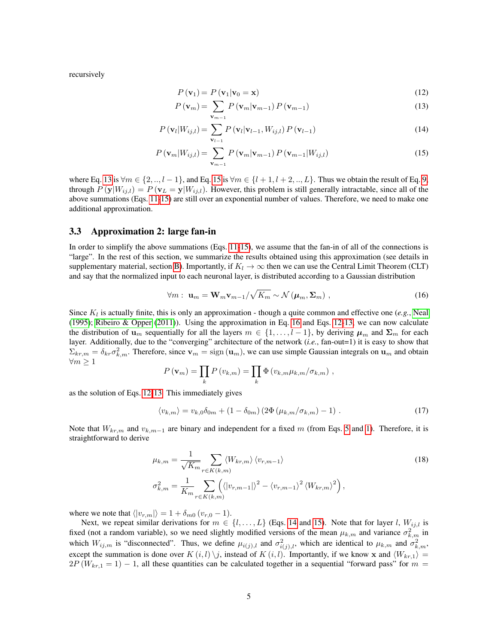recursively

<span id="page-4-0"></span>
$$
P(\mathbf{v}_1) = P(\mathbf{v}_1 | \mathbf{v}_0 = \mathbf{x}) \tag{12}
$$

$$
P(\mathbf{v}_{m}) = \sum_{\mathbf{v}_{m-1}} P(\mathbf{v}_{m}|\mathbf{v}_{m-1}) P(\mathbf{v}_{m-1})
$$
\n(13)

$$
P\left(\mathbf{v}_{l}|W_{ij,l}\right) = \sum_{\mathbf{v}_{l-1}} P\left(\mathbf{v}_{l}|\mathbf{v}_{l-1}, W_{ij,l}\right) P\left(\mathbf{v}_{l-1}\right)
$$
\n(14)

$$
P\left(\mathbf{v}_{m}|W_{ij,l}\right) = \sum_{\mathbf{v}_{m-1}} P\left(\mathbf{v}_{m}|\mathbf{v}_{m-1}\right) P\left(\mathbf{v}_{m-1}|W_{ij,l}\right) \tag{15}
$$

where Eq. [13](#page-4-0) is  $\forall m \in \{2, ..., l-1\}$ , and Eq. [15](#page-4-0) is  $\forall m \in \{l+1, l+2, ..., L\}$ . Thus we obtain the result of Eq. [9,](#page-3-4) through  $P(y|W_{ij,l}) = P(v_L = y|W_{ij,l})$ . However, this problem is still generally intractable, since all of the above summations (Eqs. [11](#page-3-5)[-15\)](#page-4-0) are still over an exponential number of values. Therefore, we need to make one additional approximation.

### 3.3 Approximation 2: large fan-in

In order to simplify the above summations (Eqs. [11-](#page-3-5)[15\)](#page-4-0), we assume that the fan-in of all of the connections is "large". In the rest of this section, we summarize the results obtained using this approximation (see details in supplementary material, section [B\)](#page-14-0). Importantly, if  $K_l \to \infty$  then we can use the Central Limit Theorem (CLT) and say that the normalized input to each neuronal layer, is distributed according to a Gaussian distribution

<span id="page-4-1"></span>
$$
\forall m: \mathbf{u}_m = \mathbf{W}_m \mathbf{v}_{m-1} / \sqrt{K_m} \sim \mathcal{N}(\boldsymbol{\mu}_m, \boldsymbol{\Sigma}_m) ,
$$
 (16)

Since  $K_l$  is actually finite, this is only an approximation - though a quite common and effective one (e.g., [Neal](#page-12-1) [\(1995\)](#page-12-1); [Ribeiro & Opper](#page-12-6) [\(2011\)](#page-12-6)). Using the approximation in Eq. [16](#page-4-1) and Eqs. [12-13,](#page-4-0) we can now calculate the distribution of  $\mathbf{u}_m$  sequentially for all the layers  $m \in \{1, \ldots, l-1\}$ , by deriving  $\mu_m$  and  $\Sigma_m$  for each layer. Additionally, due to the "converging" architecture of the network (*i.e.*, fan-out=1) it is easy to show that  $\Sigma_{kr,m} = \delta_{kr} \sigma_{k,m}^2$ . Therefore, since  $\mathbf{v}_m = \text{sign}(\mathbf{u}_m)$ , we can use simple Gaussian integrals on  $\mathbf{u}_m$  and obtain  $∀m ≥ 1$ 

$$
P(\mathbf{v}_m) = \prod_k P(v_{k,m}) = \prod_k \Phi(v_{k,m} \mu_{k,m} / \sigma_{k,m}),
$$

as the solution of Eqs. [12-13.](#page-4-0) This immediately gives

<span id="page-4-2"></span>
$$
\langle v_{k,m} \rangle = v_{k,0} \delta_{0m} + (1 - \delta_{0m}) (2\Phi(\mu_{k,m}/\sigma_{k,m}) - 1) \ . \tag{17}
$$

Note that  $W_{kr,m}$  and  $v_{k,m-1}$  are binary and independent for a fixed m (from Eqs. [5](#page-3-0) and [1\)](#page-2-0). Therefore, it is straightforward to derive

$$
\mu_{k,m} = \frac{1}{\sqrt{K_m}} \sum_{r \in K(k,m)} \langle W_{kr,m} \rangle \langle v_{r,m-1} \rangle
$$
\n
$$
\sigma_{k,m}^2 = \frac{1}{K_m} \sum_{r \in K(k,m)} \Big( \langle |v_{r,m-1}| \rangle^2 - \langle v_{r,m-1} \rangle^2 \langle W_{kr,m} \rangle^2 \Big),
$$
\n(18)

where we note that  $\langle |v_{r,m}|\rangle = 1 + \delta_{m0} (v_{r,0} - 1)$ .

Next, we repeat similar derivations for  $m \in \{l, ..., L\}$  (Eqs. [14](#page-4-0) and [15\)](#page-4-0). Note that for layer l,  $W_{ij,l}$  is fixed (not a random variable), so we need slightly modified versions of the mean  $\mu_{k,m}$  and variance  $\sigma_{k,m}^2$  in which  $W_{ij,m}$  is "disconnected". Thus, we define  $\mu_{i(j),l}$  and  $\sigma_{i(j),l}^2$ , which are identical to  $\mu_{k,m}$  and  $\sigma_{k,m}^2$ , except the summation is done over  $K(i, l) \setminus j$ , instead of  $K(i, l)$ . Importantly, if we know x and  $\langle W_{kr,1} \rangle =$  $2P(W_{kr,1} = 1) - 1$ , all these quantities can be calculated together in a sequential "forward pass" for  $m =$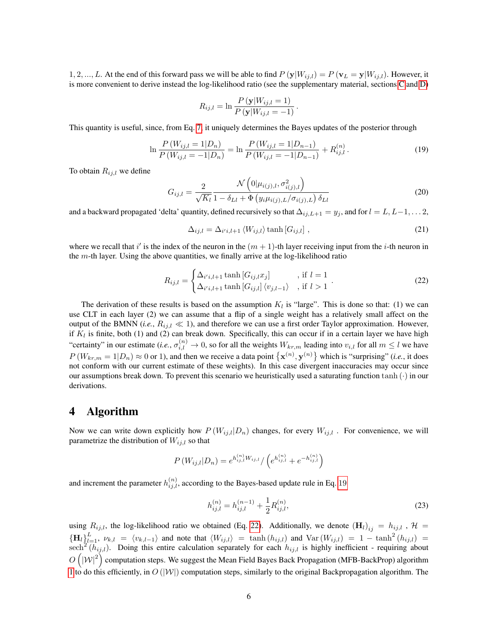1, 2, ..., L. At the end of this forward pass we will be able to find  $P(y|W_{ij,l}) = P(v_L = y|W_{ij,l})$ . However, it is more convenient to derive instead the log-likelihood ratio (see the supplementary material, sections [C](#page-19-0) and [D\)](#page-21-0)

$$
R_{ij,l} = \ln \frac{P(\mathbf{y}|W_{ij,l} = 1)}{P(\mathbf{y}|W_{ij,l} = -1)}.
$$

This quantity is useful, since, from Eq. [7,](#page-3-1) it uniquely determines the Bayes updates of the posterior through

<span id="page-5-0"></span>
$$
\ln \frac{P(W_{ij,l} = 1 | D_n)}{P(W_{ij,l} = -1 | D_n)} = \ln \frac{P(W_{ij,l} = 1 | D_{n-1})}{P(W_{ij,l} = -1 | D_{n-1})} + R_{ij,l}^{(n)}.
$$
\n(19)

To obtain  $R_{ij,l}$  we define

<span id="page-5-3"></span>
$$
G_{ij,l} = \frac{2}{\sqrt{K_l}} \frac{\mathcal{N}\left(0|\mu_{i(j),l}, \sigma_{i(j),l}^2\right)}{1 - \delta_{Ll} + \Phi\left(y_i \mu_{i(j),L}/\sigma_{i(j),L}\right) \delta_{Ll}}
$$
(20)

and a backward propagated 'delta' quantity, defined recursively so that  $\Delta_{ij,L+1} = y_j$ , and for  $l = L, L-1, \ldots, 2$ ,

$$
\Delta_{ij,l} = \Delta_{i'i,l+1} \langle W_{ij,l} \rangle \tanh[G_{ij,l}], \qquad (21)
$$

where we recall that i' is the index of the neuron in the  $(m + 1)$ -th layer receiving input from the i-th neuron in the  $m$ -th layer. Using the above quantities, we finally arrive at the log-likelihood ratio

<span id="page-5-1"></span>
$$
R_{ij,l} = \begin{cases} \Delta_{i'i,l+1} \tanh\left[G_{ij,l}x_j\right] & , \text{if } l = 1\\ \Delta_{i'i,l+1} \tanh\left[G_{ij,l}\right] \langle v_{j,l-1} \rangle & , \text{if } l > 1 \end{cases} . \tag{22}
$$

The derivation of these results is based on the assumption  $K_l$  is "large". This is done so that: (1) we can use CLT in each layer (2) we can assume that a flip of a single weight has a relatively small affect on the output of the BMNN (*i.e.*,  $R_{ij,l} \ll 1$ ), and therefore we can use a first order Taylor approximation. However, if  $K_l$  is finite, both (1) and (2) can break down. Specifically, this can occur if in a certain layer we have high "certainty" in our estimate (*i.e.*,  $\sigma_{i,l}^{(n)} \to 0$ , so for all the weights  $W_{kr,m}$  leading into  $v_{i,l}$  for all  $m \leq l$  we have  $P(W_{kr,m} = 1|D_n) \approx 0$  or 1), and then we receive a data point  $\{\mathbf{x}^{(n)}, \mathbf{y}^{(n)}\}$  which is "surprising" (*i.e.*, it does not conform with our current estimate of these weights). In this case divergent inaccuracies may occur since our assumptions break down. To prevent this scenario we heuristically used a saturating function  $tanh(\cdot)$  in our derivations.

## 4 Algorithm

Now we can write down explicitly how  $P(W_{ij,l}|D_n)$  changes, for every  $W_{ij,l}$ . For convenience, we will parametrize the distribution of  $W_{ij,l}$  so that

$$
P(W_{ij,l}|D_n) = e^{h_{ij,l}^{(n)}W_{ij,l}} / \left(e^{h_{ij,l}^{(n)}} + e^{-h_{ij,l}^{(n)}}\right)
$$

and increment the parameter  $h_{i,j,l}^{(n)}$ , according to the Bayes-based update rule in Eq. [19](#page-5-0)

<span id="page-5-2"></span>
$$
h_{ij,l}^{(n)} = h_{ij,l}^{(n-1)} + \frac{1}{2} R_{ij,l}^{(n)},
$$
\n(23)

using  $R_{ij,l}$ , the log-likelihood ratio we obtained (Eq. [22\)](#page-5-1). Additionally, we denote  $(H_l)_{ij} = h_{ij,l}$  ,  $\mathcal{H} =$  ${H_l}_{l,l=1}^L$ ,  $\nu_{k,l} = \langle v_{k,l-1} \rangle$  and note that  $\langle W_{ij,l} \rangle = \tanh(h_{ij,l})$  and  $\text{Var}(W_{ij,l}) = 1 - \tanh^2(h_{ij,l}) = 1$ sech<sup>2</sup> $(h_{ij,l})$ . Doing this entire calculation separately for each  $h_{ij,l}$  is highly inefficient - requiring about  $O(N^2)$  computation steps. We suggest the Mean Field Bayes Back Propagation (MFB-BackProp) algorithm [1](#page-8-0) to do this efficiently, in  $O(|W|)$  computation steps, similarly to the original Backpropagation algorithm. The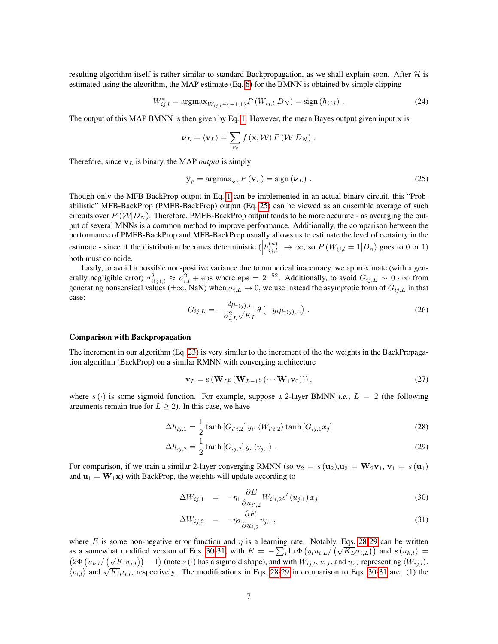resulting algorithm itself is rather similar to standard Backpropagation, as we shall explain soon. After  $H$  is estimated using the algorithm, the MAP estimate (Eq. [6\)](#page-3-6) for the BMNN is obtained by simple clipping

<span id="page-6-5"></span>
$$
W_{ij,l}^* = \operatorname{argmax}_{W_{ij,l} \in \{-1,1\}} P\left(W_{ij,l} | D_N\right) = \operatorname{sign}\left(h_{ij,l}\right) \,. \tag{24}
$$

The output of this MAP BMNN is then given by Eq. [1.](#page-2-0) However, the mean Bayes output given input x is

$$
\nu_L = \langle \mathbf{v}_L \rangle = \sum_{\mathcal{W}} f(\mathbf{x}, \mathcal{W}) P(\mathcal{W}|D_N) .
$$

Therefore, since  $v_L$  is binary, the MAP *output* is simply

<span id="page-6-0"></span>
$$
\hat{\mathbf{y}}_{p} = \operatorname{argmax}_{\mathbf{v}_{L}} P(\mathbf{v}_{L}) = \operatorname{sign}(\boldsymbol{\nu}_{L}). \qquad (25)
$$

Though only the MFB-BackProp output in Eq. [1](#page-2-0) can be implemented in an actual binary circuit, this "Probabilistic" MFB-BackProp (PMFB-BackProp) output (Eq. [25\)](#page-6-0) can be viewed as an ensemble average of such circuits over  $P(W|D_N)$ . Therefore, PMFB-BackProp output tends to be more accurate - as averaging the output of several MNNs is a common method to improve performance. Additionally, the comparison between the performance of PMFB-BackProp and MFB-BackProp usually allows us to estimate the level of certainty in the estimate - since if the distribution becomes deterministic  $\left(h_{ij,l}^{(n)}\right)$  $\begin{aligned} \binom{n}{i,j,l}\n\rightarrow \infty, \text{ so } P\left(W_{ij,l}=1|D_n\right) \text{ goes to 0 or 1}\n\end{aligned}$ both must coincide.

Lastly, to avoid a possible non-positive variance due to numerical inaccuracy, we approximate (with a generally negligible error)  $\sigma_{i(j),l}^2 \approx \sigma_{i,l}^2$  + eps where eps = 2<sup>-52</sup>. Additionally, to avoid  $G_{ij,L} \sim 0 \cdot \infty$  from generating nonsensical values ( $\pm \infty$ , NaN) when  $\sigma_{i,L} \to 0$ , we use instead the asymptotic form of  $G_{ij,L}$  in that case:

<span id="page-6-4"></span>
$$
G_{ij,L} = -\frac{2\mu_{i(j),L}}{\sigma_{i,L}^2 \sqrt{K_L}} \theta\left(-y_i \mu_{i(j),L}\right) \,. \tag{26}
$$

#### Comparison with Backpropagation

The increment in our algorithm (Eq. [23\)](#page-5-2) is very similar to the increment of the the weights in the BackPropagation algorithm (BackProp) on a similar RMNN with converging architecture

<span id="page-6-6"></span><span id="page-6-2"></span><span id="page-6-1"></span>
$$
\mathbf{v}_L = \mathbf{s} \left( \mathbf{W}_L \mathbf{s} \left( \mathbf{W}_{L-1} \mathbf{s} \left( \cdots \mathbf{W}_1 \mathbf{v}_0 \right) \right) \right),\tag{27}
$$

where  $s(\cdot)$  is some sigmoid function. For example, suppose a 2-layer BMNN *i.e.*,  $L = 2$  (the following arguments remain true for  $L \geq 2$ ). In this case, we have

$$
\Delta h_{ij,1} = \frac{1}{2} \tanh \left[ G_{i'i,2} \right] y_{i'} \left\langle W_{i'i,2} \right\rangle \tanh \left[ G_{ij,1} x_j \right] \tag{28}
$$

$$
\Delta h_{ij,2} = \frac{1}{2} \tanh \left[ G_{ij,2} \right] y_i \langle v_{j,1} \rangle . \tag{29}
$$

For comparison, if we train a similar 2-layer converging RMNN (so  $\mathbf{v}_2 = s(\mathbf{u}_2), \mathbf{u}_2 = \mathbf{W}_2 \mathbf{v}_1, \mathbf{v}_1 = s(\mathbf{u}_1)$ and  $\mathbf{u}_1 = \mathbf{W}_1 \mathbf{x}$ ) with BackProp, the weights will update according to

$$
\Delta W_{ij,1} = -\eta_1 \frac{\partial E}{\partial u_{i',2}} W_{i'i,2} s'(u_{j,1}) x_j \tag{30}
$$

<span id="page-6-3"></span>
$$
\Delta W_{ij,2} = -\eta_2 \frac{\partial E}{\partial u_{i,2}} v_{j,1},\tag{31}
$$

where E is some non-negative error function and  $\eta$  is a learning rate. Notably, Eqs. [28](#page-6-1)[-29](#page-6-2) can be written where *E* is some non-negative error function and  $\eta$  is a learning rate. Notably, Eqs. 28-29 can be written as a somewhat modified version of Eqs. [30-31,](#page-6-3) with  $E = -\sum_i \ln \Phi(g_i u_{i,L}/(\sqrt{K_L} \sigma_{i,L}))$  and  $s(u_{k,l}) =$  $(2\Phi(u_{k,l}/(\sqrt{K_l}\sigma_{i,l})) - 1)$  (note s (·) has a sigmoid shape), and with  $W_{ij,l}, v_{i,l}$ , and  $u_{i,l}$  representing  $\langle W_{ij,l} \rangle$ ,  $(\sqrt{\frac{W_{k,l}}{W_{i,l}}})$  and  $(\sqrt{K_l} \mu_{i,l})$ , respectively. The modifications in Eqs. [28](#page-6-1)[-29](#page-6-2) in comparison to Eqs. [30-31](#page-6-3) are: (1) the  $\langle v_{i,l} \rangle$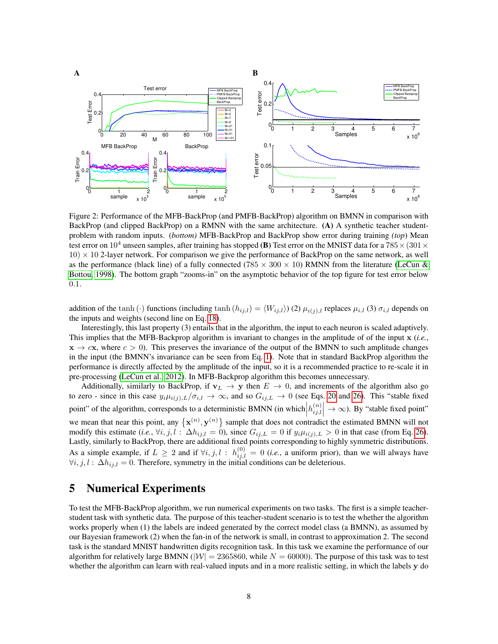

<span id="page-7-0"></span>Figure 2: Performance of the MFB-BackProp (and PMFB-BackProp) algorithm on BMNN in comparison with BackProp (and clipped BackProp) on a RMNN with the same architecture. (A) A synthetic teacher studentproblem with random inputs. (*bottom)* MFB-BackProp and BackProp show error during training *(top*) Mean test error on  $10^4$  unseen samples, after training has stopped (B) Test error on the MNIST data for a 785  $\times$  (301  $\times$  $10 \times 10$  2-layer network. For comparison we give the performance of BackProp on the same network, as well as the performance (black line) of a fully connected (785  $\times$  300  $\times$  10) RMNN from the literature [\(LeCun &](#page-11-12) [Bottou, 1998\)](#page-11-12). The bottom graph "zooms-in" on the asymptotic behavior of the top figure for test error below 0.1.

addition of the tanh (·) functions (including tanh  $(h_{ij,l}) = \langle W_{ij,l} \rangle$ ) (2)  $\mu_{i(j),l}$  replaces  $\mu_{i,l}$  (3)  $\sigma_{i,l}$  depends on the inputs and weights (second line on Eq. [18\)](#page-4-2).

Interestingly, this last property (3) entails that in the algorithm, the input to each neuron is scaled adaptively. This implies that the MFB-Backprop algorithm is invariant to changes in the amplitude of of the input x (*i.e.*,  $x \to c x$ , where  $c > 0$ ). This preserves the invariance of the output of the BMNN to such amplitude changes in the input (the BMNN's invariance can be seen from Eq. [1\)](#page-2-0). Note that in standard BackProp algorithm the performance is directly affected by the amplitude of the input, so it is a recommended practice to re-scale it in pre-processing [\(LeCun et al., 2012\)](#page-11-15). In MFB-Backprop algorithm this becomes unnecessary.

Additionally, similarly to BackProp, if  $v_L \to y$  then  $E \to 0$ , and increments of the algorithm also go to zero - since in this case  $y_i\mu_{i(j),L}/\sigma_{i,l} \to \infty$ , and so  $G_{ij,L} \to 0$  (see Eqs. [20](#page-5-3) and [26\)](#page-6-4). This "stable fixed point" of the algorithm, corresponds to a deterministic BMNN (in which  $\left| h_{ij,l}^{(n)} \right|$  $\begin{aligned} \binom{n}{i,j,l} \rightarrow \infty$ ). By "stable fixed point" we mean that near this point, any  $\{x^{(n)}, y^{(n)}\}$  sample that does not contradict the estimated BMNN will not modify this estimate (*i.e.*,  $\forall i, j, l : \Delta h_{ij,l} = 0$ ), since  $G_{ij,L} = 0$  if  $y_i \mu_{i(j),L} > 0$  in that case (from Eq. [26\)](#page-6-4). Lastly, similarly to BackProp, there are additional fixed points corresponding to highly symmetric distributions. As a simple example, if  $L \ge 2$  and if  $\forall i, j, l : h_{ij,l}^{(0)} = 0$  (*i.e.*, a uniform prior), than we will always have  $\forall i, j, l : \Delta h_{ij,l} = 0$ . Therefore, symmetry in the initial conditions can be deleterious.

# 5 Numerical Experiments

To test the MFB-BackProp algorithm, we run numerical experiments on two tasks. The first is a simple teacherstudent task with synthetic data. The purpose of this teacher-student scenario is to test the whether the algorithm works properly when (1) the labels are indeed generated by the correct model class (a BMNN), as assumed by our Bayesian framework (2) when the fan-in of the network is small, in contrast to approximation 2. The second task is the standard MNIST handwritten digits recognition task. In this task we examine the performance of our algorithm for relatively large BMNN ( $|W| = 2365860$ , while  $N = 60000$ ). The purpose of this task was to test whether the algorithm can learn with real-valued inputs and in a more realistic setting, in which the labels y do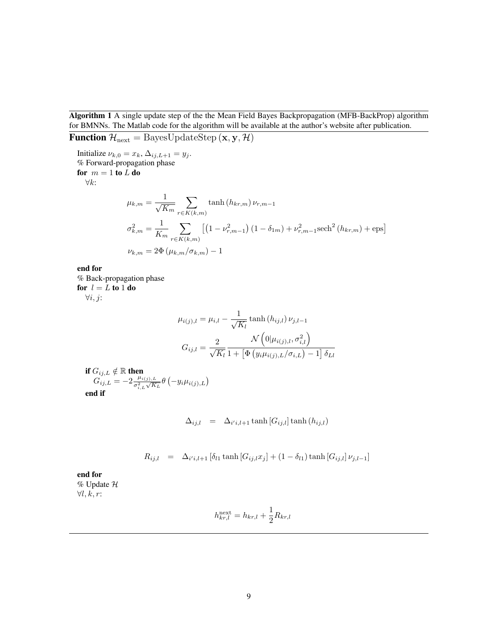<span id="page-8-0"></span>Algorithm 1 A single update step of the the Mean Field Bayes Backpropagation (MFB-BackProp) algorithm for BMNNs. The Matlab code for the algorithm will be available at the author's website after publication.

Function  $\mathcal{H}_{\text{next}} = \text{BayesUpdateStep}(\mathbf{x}, \mathbf{y}, \mathcal{H})$ 

Initialize  $\nu_{k,0} = x_k$ ,  $\Delta_{ij,L+1} = y_j$ . % Forward-propagation phase for  $m = 1$  to  $L$  do ∀k:  $\mu_{k,m} = \frac{1}{\sqrt{K_m}}$  $\sum$  $r \in K(k,m)$  $\tanh\left(h_{kr,m}\right)\nu_{r,m-1}$  $\sigma_{k,m}^2 = \frac{1}{K}$  $K_m$  $\sum$  $r \in K(k,m)$  $\left[ \left( 1 - \nu_{r,m-1}^2 \right) \left( 1 - \delta_{1m} \right) + \nu_{r,m-1}^2 \text{sech}^2 \left( h_{kr,m} \right) + \text{eps} \right]$  $\nu_{k,m} = 2\Phi(\mu_{k,m}/\sigma_{k,m}) - 1$ 

end for % Back-propagation phase for  $l = L$  to 1 do

 $\forall i, j$ :

$$
\mu_{i(j),l} = \mu_{i,l} - \frac{1}{\sqrt{K_l}} \tanh(h_{ij,l}) \nu_{j,l-1}
$$

$$
G_{ij,l} = \frac{2}{\sqrt{K_l}} \frac{\mathcal{N}\left(0|\mu_{i(j),l}, \sigma_{i,l}^2\right)}{1 + \left[\Phi\left(y_i \mu_{i(j),L}/\sigma_{i,L}\right) - 1\right] \delta_{Ll}}
$$

if  $G_{ij,L}\notin\mathbb{R}$  then  $G_{ij,L} = -2 \frac{\mu_{i(j),L}}{\sigma^2 \sqrt{K}}$  $\frac{\mu_{i(j),L}}{\sigma_{i,L}^2 \sqrt{K_L}} \theta\left(-y_i \mu_{i(j),L}\right)$ end if

$$
\Delta_{ij,l} = \Delta_{i'i,l+1} \tanh[G_{ij,l}] \tanh(h_{ij,l})
$$

 $R_{ij,l}$  =  $\Delta_{i'i,l+1} [\delta_{l1} \tanh [G_{ij,l} x_j] + (1 - \delta_{l1}) \tanh [G_{ij,l}] \nu_{j,l-1}]$ 

end for % Update H  $\forall l, k, r$ :

$$
h_{kr,l}^{\text{next}} = h_{kr,l} + \frac{1}{2} R_{kr,l}
$$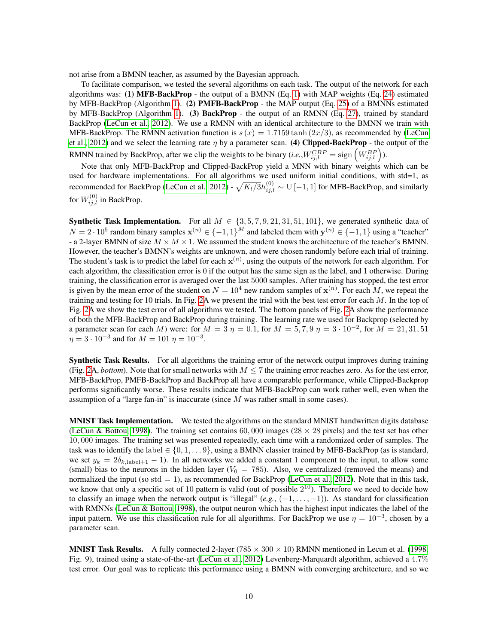not arise from a BMNN teacher, as assumed by the Bayesian approach.

To facilitate comparison, we tested the several algorithms on each task. The output of the network for each algorithms was: (1) MFB-BackProp - the output of a BMNN (Eq. [1\)](#page-2-0) with MAP weights (Eq. [24\)](#page-6-5) estimated by MFB-BackProp (Algorithm [1\)](#page-8-0). (2) PMFB-BackProp - the MAP output (Eq. [25\)](#page-6-0) of a BMNNs estimated by MFB-BackProp (Algorithm [1\)](#page-8-0). (3) BackProp - the output of an RMNN (Eq. [27\)](#page-6-6), trained by standard BackProp [\(LeCun et al., 2012\)](#page-11-15). We use a RMNN with an identical architecture to the BMNN we train with MFB-BackProp. The RMNN activation function is  $s(x) = 1.7159 \tanh (2x/3)$ , as recommended by [\(LeCun](#page-11-15) [et al., 2012\)](#page-11-15) and we select the learning rate  $\eta$  by a parameter scan. (4) Clipped-BackProp - the output of the RMNN trained by BackProp, after we clip the weights to be binary  $(i.e., W_{ij,l}^{CBP} = \text{sign}(W_{ij,l}^{BP})$ ).

Note that only MFB-BackProp and Clipped-BackProp yield a MNN with binary weights which can be used for hardware implementations. For all algorithms we used uniform initial conditions, with std=1, as recommended for BackProp [\(LeCun et al., 2012\)](#page-11-15) -  $\sqrt{K_l/3}h_{ij,l}^{(0)}\sim \text{U}$  [−1, 1] for MFB-BackProp, and similarly for  $W_{ij,l}^{(0)}$  in BackProp.

**Synthetic Task Implementation.** For all  $M \in \{3, 5, 7, 9, 21, 31, 51, 101\}$ , we generated synthetic data of  $N = 2 \cdot 10^5$  random binary samples  $\mathbf{x}^{(n)} \in \{-1, 1\}^M$  and labeled them with  $\mathbf{y}^{(n)} \in \{-1, 1\}$  using a "teacher" - a 2-layer BMNN of size  $M \times M \times 1$ . We assumed the student knows the architecture of the teacher's BMNN. However, the teacher's BMNN's weights are unknown, and were chosen randomly before each trial of training. The student's task is to predict the label for each  $x^{(n)}$ , using the outputs of the network for each algorithm. For each algorithm, the classification error is 0 if the output has the same sign as the label, and 1 otherwise. During training, the classification error is averaged over the last 5000 samples. After training has stopped, the test error is given by the mean error of the student on  $N = 10^4$  new random samples of  $\mathbf{x}^{(n)}$ . For each M, we repeat the training and testing for 10 trials. In Fig. [2A](#page-7-0) we present the trial with the best test error for each  $M$ . In the top of Fig. [2A](#page-7-0) we show the test error of all algorithms we tested. The bottom panels of Fig. [2A](#page-7-0) show the performance of both the MFB-BackProp and BackProp during training. The learning rate we used for Backprop (selected by a parameter scan for each M) were: for  $M = 3 \eta = 0.1$ , for  $M = 5, 7, 9 \eta = 3 \cdot 10^{-2}$ , for  $M = 21, 31, 51$  $\eta = 3 \cdot 10^{-3}$  and for  $M = 101 \eta = 10^{-3}$ .

Synthetic Task Results. For all algorithms the training error of the network output improves during training (Fig. [2A](#page-7-0), *bottom*). Note that for small networks with  $M \le 7$  the training error reaches zero. As for the test error, MFB-BackProp, PMFB-BackProp and BackProp all have a comparable performance, while Clipped-Backprop performs significantly worse. These results indicate that MFB-BackProp can work rather well, even when the assumption of a "large fan-in" is inaccurate (since M was rather small in some cases).

MNIST Task Implementation. We tested the algorithms on the standard MNIST handwritten digits database [\(LeCun & Bottou, 1998\)](#page-11-12). The training set contains 60,000 images ( $28 \times 28$  pixels) and the test set has other 10, 000 images. The training set was presented repeatedly, each time with a randomized order of samples. The task was to identify the label  $\in \{0, 1, \ldots 9\}$ , using a BMNN classier trained by MFB-BackProp (as is standard, we set  $y_k = 2\delta_{k, \text{label}+1} - 1$ . In all networks we added a constant 1 component to the input, to allow some (small) bias to the neurons in the hidden layer ( $V_0 = 785$ ). Also, we centralized (removed the means) and normalized the input (so  $std = 1$ ), as recommended for BackProp [\(LeCun et al., 2012\)](#page-11-15). Note that in this task, we know that only a specific set of 10 pattern is valid (out of possible  $2^{10}$ ). Therefore we need to decide how to classify an image when the network output is "illegal"  $(e.g., (-1, \ldots, -1))$ . As standard for classification with RMNNs [\(LeCun & Bottou, 1998\)](#page-11-12), the output neuron which has the highest input indicates the label of the input pattern. We use this classification rule for all algorithms. For BackProp we use  $\eta = 10^{-3}$ , chosen by a parameter scan.

**MNIST Task Results.** A fully connected 2-layer (785  $\times$  300  $\times$  10) RMNN mentioned in Lecun et al. [\(1998,](#page-11-12) Fig. 9), trained using a state-of-the-art [\(LeCun et al., 2012\)](#page-11-15) Levenberg-Marquardt algorithm, achieved a 4.7% test error. Our goal was to replicate this performance using a BMNN with converging architecture, and so we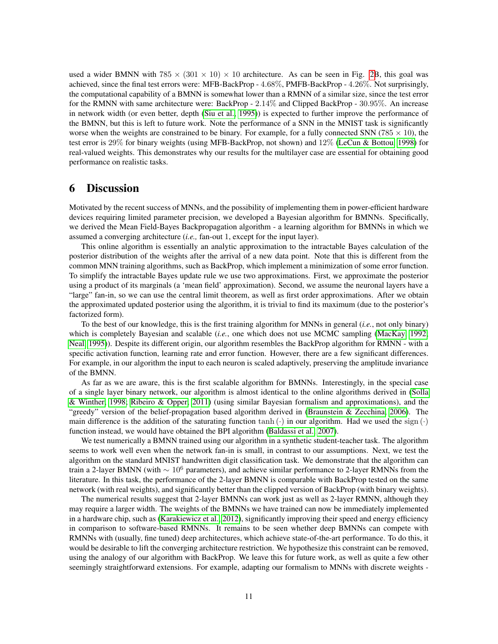used a wider BMNN with  $785 \times (301 \times 10) \times 10$  architecture. As can be seen in Fig. [2B](#page-7-0), this goal was achieved, since the final test errors were: MFB-BackProp - 4.68%, PMFB-BackProp - 4.26%. Not surprisingly, the computational capability of a BMNN is somewhat lower than a RMNN of a similar size, since the test error for the RMNN with same architecture were: BackProp - 2.14% and Clipped BackProp - 30.95%. An increase in network width (or even better, depth [\(Siu et al., 1995\)](#page-12-10)) is expected to further improve the performance of the BMNN, but this is left to future work. Note the performance of a SNN in the MNIST task is significantly worse when the weights are constrained to be binary. For example, for a fully connected SNN (785  $\times$  10), the test error is 29% for binary weights (using MFB-BackProp, not shown) and 12% [\(LeCun & Bottou, 1998\)](#page-11-12) for real-valued weights. This demonstrates why our results for the multilayer case are essential for obtaining good performance on realistic tasks.

## 6 Discussion

Motivated by the recent success of MNNs, and the possibility of implementing them in power-efficient hardware devices requiring limited parameter precision, we developed a Bayesian algorithm for BMNNs. Specifically, we derived the Mean Field-Bayes Backpropagation algorithm - a learning algorithm for BMNNs in which we assumed a converging architecture (*i.e.,* fan-out 1, except for the input layer).

This online algorithm is essentially an analytic approximation to the intractable Bayes calculation of the posterior distribution of the weights after the arrival of a new data point. Note that this is different from the common MNN training algorithms, such as BackProp, which implement a minimization of some error function. To simplify the intractable Bayes update rule we use two approximations. First, we approximate the posterior using a product of its marginals (a 'mean field' approximation). Second, we assume the neuronal layers have a "large" fan-in, so we can use the central limit theorem, as well as first order approximations. After we obtain the approximated updated posterior using the algorithm, it is trivial to find its maximum (due to the posterior's factorized form).

To the best of our knowledge, this is the first training algorithm for MNNs in general (*i.e.*, not only binary) which is completely Bayesian and scalable (*i.e.*, one which does not use MCMC sampling [\(MacKay, 1992;](#page-12-0) [Neal, 1995\)](#page-12-1)). Despite its different origin, our algorithm resembles the BackProp algorithm for RMNN - with a specific activation function, learning rate and error function. However, there are a few significant differences. For example, in our algorithm the input to each neuron is scaled adaptively, preserving the amplitude invariance of the BMNN.

As far as we are aware, this is the first scalable algorithm for BMNNs. Interestingly, in the special case of a single layer binary network, our algorithm is almost identical to the online algorithms derived in [\(Solla](#page-12-5) [& Winther, 1998;](#page-12-5) [Ribeiro & Opper, 2011\)](#page-12-6) (using similar Bayesian formalism and approximations), and the "greedy" version of the belief-propagation based algorithm derived in [\(Braunstein & Zecchina, 2006\)](#page-11-10). The main difference is the addition of the saturating function tanh  $(\cdot)$  in our algorithm. Had we used the sign  $(\cdot)$ function instead, we would have obtained the BPI algorithm [\(Baldassi et al., 2007\)](#page-11-11).

We test numerically a BMNN trained using our algorithm in a synthetic student-teacher task. The algorithm seems to work well even when the network fan-in is small, in contrast to our assumptions. Next, we test the algorithm on the standard MNIST handwritten digit classification task. We demonstrate that the algorithm can train a 2-layer BMNN (with  $\sim 10^6$  parameters), and achieve similar performance to 2-layer RMNNs from the literature. In this task, the performance of the 2-layer BMNN is comparable with BackProp tested on the same network (with real weights), and significantly better than the clipped version of BackProp (with binary weights).

The numerical results suggest that 2-layer BMNNs can work just as well as 2-layer RMNN, although they may require a larger width. The weights of the BMNNs we have trained can now be immediately implemented in a hardware chip, such as [\(Karakiewicz et al., 2012\)](#page-11-7), significantly improving their speed and energy efficiency in comparison to software-based RMNNs. It remains to be seen whether deep BMNNs can compete with RMNNs with (usually, fine tuned) deep architectures, which achieve state-of-the-art performance. To do this, it would be desirable to lift the converging architecture restriction. We hypothesize this constraint can be removed, using the analogy of our algorithm with BackProp. We leave this for future work, as well as quite a few other seemingly straightforward extensions. For example, adapting our formalism to MNNs with discrete weights *-*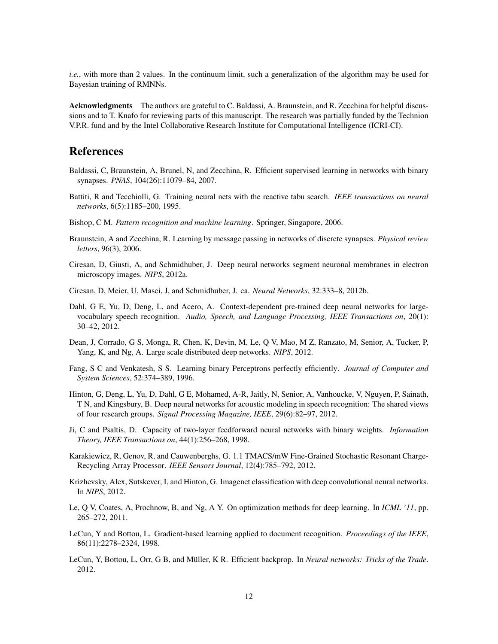*i.e.*, with more than 2 values. In the continuum limit, such a generalization of the algorithm may be used for Bayesian training of RMNNs.

Acknowledgments The authors are grateful to C. Baldassi, A. Braunstein, and R. Zecchina for helpful discussions and to T. Knafo for reviewing parts of this manuscript. The research was partially funded by the Technion V.P.R. fund and by the Intel Collaborative Research Institute for Computational Intelligence (ICRI-CI).

# References

- <span id="page-11-11"></span>Baldassi, C, Braunstein, A, Brunel, N, and Zecchina, R. Efficient supervised learning in networks with binary synapses. *PNAS*, 104(26):11079–84, 2007.
- <span id="page-11-13"></span>Battiti, R and Tecchiolli, G. Training neural nets with the reactive tabu search. *IEEE transactions on neural networks*, 6(5):1185–200, 1995.
- <span id="page-11-14"></span>Bishop, C M. *Pattern recognition and machine learning*. Springer, Singapore, 2006.
- <span id="page-11-10"></span>Braunstein, A and Zecchina, R. Learning by message passing in networks of discrete synapses. *Physical review letters*, 96(3), 2006.
- <span id="page-11-4"></span>Ciresan, D, Giusti, A, and Schmidhuber, J. Deep neural networks segment neuronal membranes in electron microscopy images. *NIPS*, 2012a.
- <span id="page-11-5"></span>Ciresan, D, Meier, U, Masci, J, and Schmidhuber, J. ca. *Neural Networks*, 32:333–8, 2012b.
- <span id="page-11-2"></span>Dahl, G E, Yu, D, Deng, L, and Acero, A. Context-dependent pre-trained deep neural networks for largevocabulary speech recognition. *Audio, Speech, and Language Processing, IEEE Transactions on*, 20(1): 30–42, 2012.
- <span id="page-11-3"></span>Dean, J, Corrado, G S, Monga, R, Chen, K, Devin, M, Le, Q V, Mao, M Z, Ranzato, M, Senior, A, Tucker, P, Yang, K, and Ng, A. Large scale distributed deep networks. *NIPS*, 2012.
- <span id="page-11-9"></span>Fang, S C and Venkatesh, S S. Learning binary Perceptrons perfectly efficiently. *Journal of Computer and System Sciences*, 52:374–389, 1996.
- <span id="page-11-0"></span>Hinton, G, Deng, L, Yu, D, Dahl, G E, Mohamed, A-R, Jaitly, N, Senior, A, Vanhoucke, V, Nguyen, P, Sainath, T N, and Kingsbury, B. Deep neural networks for acoustic modeling in speech recognition: The shared views of four research groups. *Signal Processing Magazine, IEEE*, 29(6):82–97, 2012.
- <span id="page-11-8"></span>Ji, C and Psaltis, D. Capacity of two-layer feedforward neural networks with binary weights. *Information Theory, IEEE Transactions on*, 44(1):256–268, 1998.
- <span id="page-11-7"></span>Karakiewicz, R, Genov, R, and Cauwenberghs, G. 1.1 TMACS/mW Fine-Grained Stochastic Resonant Charge-Recycling Array Processor. *IEEE Sensors Journal*, 12(4):785–792, 2012.
- <span id="page-11-1"></span>Krizhevsky, Alex, Sutskever, I, and Hinton, G. Imagenet classification with deep convolutional neural networks. In *NIPS*, 2012.
- <span id="page-11-6"></span>Le, Q V, Coates, A, Prochnow, B, and Ng, A Y. On optimization methods for deep learning. In *ICML '11*, pp. 265–272, 2011.
- <span id="page-11-12"></span>LeCun, Y and Bottou, L. Gradient-based learning applied to document recognition. *Proceedings of the IEEE*, 86(11):2278–2324, 1998.
- <span id="page-11-15"></span>LeCun, Y, Bottou, L, Orr, G B, and Müller, K R. Efficient backprop. In *Neural networks: Tricks of the Trade*. 2012.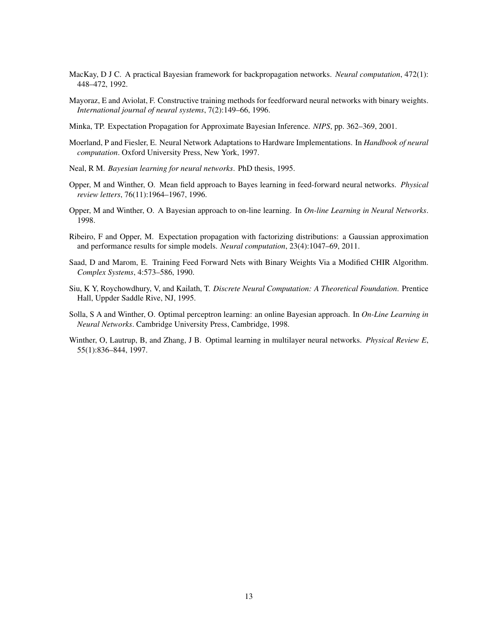- <span id="page-12-0"></span>MacKay, D J C. A practical Bayesian framework for backpropagation networks. *Neural computation*, 472(1): 448–472, 1992.
- <span id="page-12-9"></span>Mayoraz, E and Aviolat, F. Constructive training methods for feedforward neural networks with binary weights. *International journal of neural systems*, 7(2):149–66, 1996.
- <span id="page-12-11"></span>Minka, TP. Expectation Propagation for Approximate Bayesian Inference. *NIPS*, pp. 362–369, 2001.
- <span id="page-12-7"></span>Moerland, P and Fiesler, E. Neural Network Adaptations to Hardware Implementations. In *Handbook of neural computation*. Oxford University Press, New York, 1997.
- <span id="page-12-1"></span>Neal, R M. *Bayesian learning for neural networks*. PhD thesis, 1995.
- <span id="page-12-2"></span>Opper, M and Winther, O. Mean field approach to Bayes learning in feed-forward neural networks. *Physical review letters*, 76(11):1964–1967, 1996.
- <span id="page-12-4"></span>Opper, M and Winther, O. A Bayesian approach to on-line learning. In *On-line Learning in Neural Networks*. 1998.
- <span id="page-12-6"></span>Ribeiro, F and Opper, M. Expectation propagation with factorizing distributions: a Gaussian approximation and performance results for simple models. *Neural computation*, 23(4):1047–69, 2011.
- <span id="page-12-8"></span>Saad, D and Marom, E. Training Feed Forward Nets with Binary Weights Via a Modified CHIR Algorithm. *Complex Systems*, 4:573–586, 1990.
- <span id="page-12-10"></span>Siu, K Y, Roychowdhury, V, and Kailath, T. *Discrete Neural Computation: A Theoretical Foundation*. Prentice Hall, Uppder Saddle Rive, NJ, 1995.
- <span id="page-12-5"></span>Solla, S A and Winther, O. Optimal perceptron learning: an online Bayesian approach. In *On-Line Learning in Neural Networks*. Cambridge University Press, Cambridge, 1998.
- <span id="page-12-3"></span>Winther, O, Lautrup, B, and Zhang, J B. Optimal learning in multilayer neural networks. *Physical Review E*, 55(1):836–844, 1997.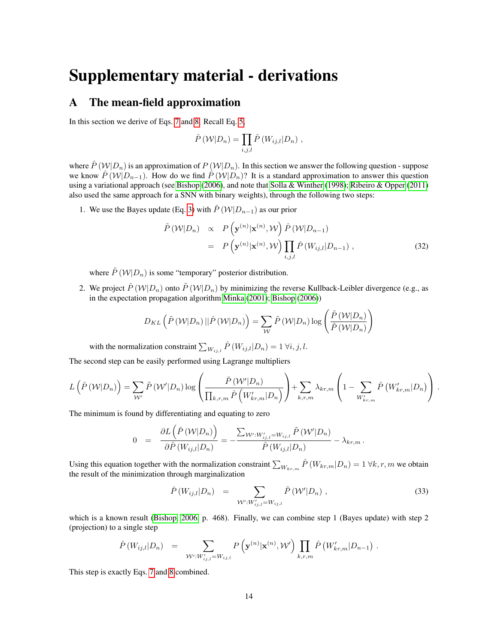# Supplementary material - derivations

# <span id="page-13-0"></span>A The mean-field approximation

In this section we derive of Eqs. [7](#page-3-1) and [8.](#page-3-2) Recall Eq. [5,](#page-3-0)

$$
\hat{P}(W|D_n) = \prod_{i,j,l} \hat{P}(W_{ij,l}|D_n) ,
$$

where  $\hat{P}(W|D_n)$  is an approximation of  $P(W|D_n)$ . In this section we answer the following question - suppose we know  $\hat{P}(W|D_{n-1})$ . How do we find  $\hat{P}(W|D_n)$ ? It is a standard approximation to answer this question using a variational approach (see [Bishop](#page-11-14) [\(2006\)](#page-11-14), and note that [Solla & Winther](#page-12-5) [\(1998\)](#page-12-5); [Ribeiro & Opper](#page-12-6) [\(2011\)](#page-12-6) also used the same approach for a SNN with binary weights), through the following two steps:

1. We use the Bayes update (Eq. [3\)](#page-2-1) with  $\hat{P}(\mathcal{W}|D_{n-1})$  as our prior

$$
\tilde{P}(W|D_n) \propto P\left(\mathbf{y}^{(n)}|\mathbf{x}^{(n)},W\right)\hat{P}(W|D_{n-1})
$$
\n
$$
= P\left(\mathbf{y}^{(n)}|\mathbf{x}^{(n)},W\right)\prod_{i,j,l}\hat{P}(W_{ij,l}|D_{n-1}), \qquad (32)
$$

where  $\tilde{P}(W|D_n)$  is some "temporary" posterior distribution.

2. We project  $\hat{P}(\mathcal{W}|D_n)$  onto  $\tilde{P}(\mathcal{W}|D_n)$  by minimizing the reverse Kullback-Leibler divergence (e.g., as in the expectation propagation algorithm [Minka](#page-12-11) [\(2001\)](#page-12-11); [Bishop](#page-11-14) [\(2006\)](#page-11-14))

$$
D_{KL}\left(\tilde{P}\left(\mathcal{W}|D_n\right)||\hat{P}\left(\mathcal{W}|D_n\right)\right) = \sum_{\mathcal{W}} \tilde{P}\left(\mathcal{W}|D_n\right) \log \left(\frac{\tilde{P}\left(\mathcal{W}|D_n\right)}{\hat{P}\left(\mathcal{W}|D_n\right)}\right)
$$

with the normalization constraint  $\sum_{W_{ij,l}} \hat{P}(W_{ij,l}|D_n) = 1 \,\forall i,j,l.$ 

The second step can be easily performed using Lagrange multipliers

$$
L(\hat{P}(W|D_n)) = \sum_{\mathcal{W}'} \tilde{P}(W'|D_n) \log \left(\frac{\tilde{P}(W'|D_n)}{\prod_{k,r,m} \hat{P}(W'_{kr,m}|D_n)}\right) + \sum_{k,r,m} \lambda_{kr,m} \left(1 - \sum_{W'_{kr,m}} \hat{P}(W'_{kr,m}|D_n)\right).
$$

The minimum is found by differentiating and equating to zero

$$
0 = \frac{\partial L(\hat{P}(W|D_n))}{\partial \hat{P}(W_{ij,l}|D_n)} = -\frac{\sum_{\mathcal{W}': W'_{ij,l} = W_{ij,l}} \tilde{P}(W'|D_n)}{\hat{P}(W_{ij,l}|D_n)} - \lambda_{kr,m}.
$$

Using this equation together with the normalization constraint  $\sum_{W_{kr,m}} \hat{P}(W_{kr,m}|D_n) = 1 \forall k, r, m$  we obtain the result of the minimization through marginalization

$$
\hat{P}(W_{ij,l}|D_n) = \sum_{\mathcal{W}': W'_{ij,l} = W_{ij,l}} \tilde{P}(\mathcal{W}'|D_n) ,
$$
\n(33)

which is a known result [\(Bishop, 2006,](#page-11-14) p. 468). Finally, we can combine step 1 (Bayes update) with step 2 (projection) to a single step

$$
\hat{P}(W_{ij,l}|D_n) = \sum_{\mathcal{W}': W'_{ij,l} = W_{ij,l}} P(\mathbf{y}^{(n)}|\mathbf{x}^{(n)}, \mathcal{W}') \prod_{k,r,m} \hat{P}(W'_{kr,m}|D_{n-1}) .
$$

This step is exactly Eqs. [7](#page-3-1) and [8](#page-3-2) combined.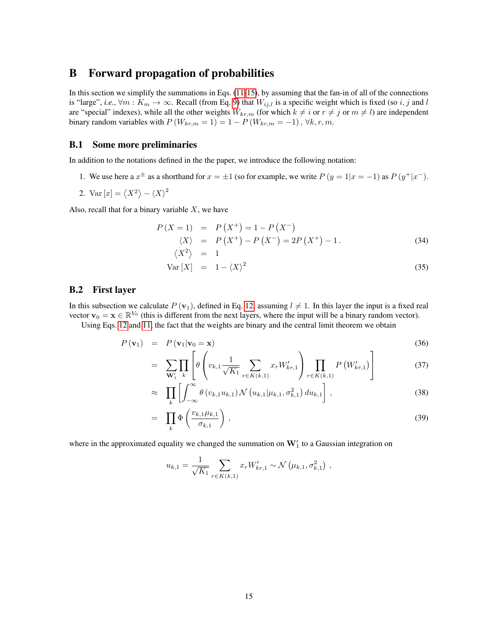# <span id="page-14-0"></span>B Forward propagation of probabilities

In this section we simplify the summations in Eqs. [\(11-](#page-3-5)[15\)](#page-4-0), by assuming that the fan-in of all of the connections is "large", *i.e.*,  $\forall m : K_m \to \infty$ . Recall (from Eq. [9\)](#page-3-4) that  $W_{ij,l}$  is a specific weight which is fixed (so i, j and l are "special" indexes), while all the other weights  $W_{kr,m}$  (for which  $k \neq i$  or  $r \neq j$  or  $m \neq l$ ) are independent binary random variables with  $P(W_{kr,m} = 1) = 1 - P(W_{kr,m} = -1)$ ,  $\forall k, r, m$ .

## B.1 Some more preliminaries

In addition to the notations defined in the the paper, we introduce the following notation:

- 1. We use here a  $x^{\pm}$  as a shorthand for  $x = \pm 1$  (so for example, we write  $P(y = 1|x = -1)$  as  $P(y^{\pm} | x^{-})$ .
- 2. Var  $[x] = \langle X^2 \rangle \langle X \rangle^2$

Also, recall that for a binary variable  $X$ , we have

<span id="page-14-1"></span>
$$
P(X = 1) = P(X^{+}) = 1 - P(X^{-})
$$
  
\n
$$
\langle X \rangle = P(X^{+}) - P(X^{-}) = 2P(X^{+}) - 1.
$$
  
\n
$$
\langle X^{2} \rangle = 1
$$
\n(34)

$$
Var[X] = 1 - \langle X \rangle^2 \tag{35}
$$

### B.2 First layer

In this subsection we calculate  $P(\mathbf{v}_1)$ , defined in Eq. [12,](#page-4-0) assuming  $l \neq 1$ . In this layer the input is a fixed real vector  $\mathbf{v}_0 = \mathbf{x} \in \mathbb{R}^{V_0}$  (this is different from the next layers, where the input will be a binary random vector).

Using Eqs. [12](#page-4-0) and [11,](#page-3-5) the fact that the weights are binary and the central limit theorem we obtain

<span id="page-14-2"></span>
$$
P(\mathbf{v}_1) = P(\mathbf{v}_1 | \mathbf{v}_0 = \mathbf{x}) \tag{36}
$$

$$
= \sum_{\mathbf{W}_{1}'} \prod_{k} \left[ \theta \left( v_{k,1} \frac{1}{\sqrt{K_{1}}} \sum_{r \in K(k,1)} x_{r} W_{kr,1}' \right) \prod_{r \in K(k,1)} P \left( W_{kr,1}' \right) \right]
$$
(37)

$$
\approx \prod_{k} \left[ \int_{-\infty}^{\infty} \theta \left( v_{k,1} u_{k,1} \right) \mathcal{N} \left( u_{k,1} | \mu_{k,1}, \sigma_{k,1}^2 \right) du_{k,1} \right], \tag{38}
$$

$$
= \prod_{k} \Phi\left(\frac{v_{k,1}\mu_{k,1}}{\sigma_{k,1}}\right), \tag{39}
$$

where in the approximated equality we changed the summation on  $W_1'$  to a Gaussian integration on

$$
u_{k,1} = \frac{1}{\sqrt{K_1}} \sum_{r \in K(k,1)} x_r W'_{kr,1} \sim \mathcal{N}\left(\mu_{k,1}, \sigma_{k,1}^2\right),
$$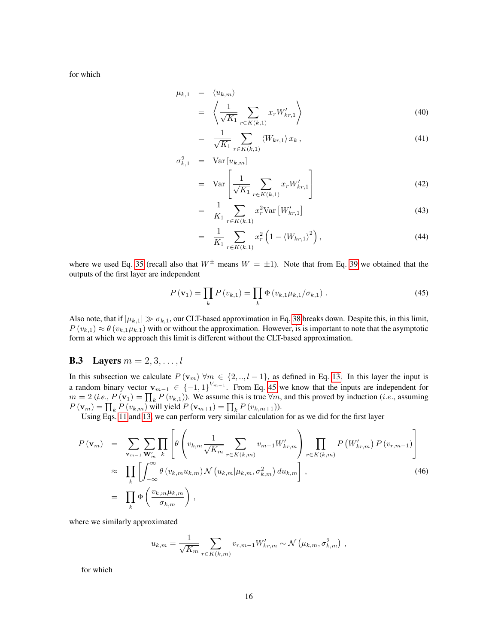for which

<span id="page-15-2"></span>
$$
\mu_{k,1} = \langle u_{k,m} \rangle
$$
  
=  $\left\langle \frac{1}{\sqrt{K_1}} \sum_{r \in K(k,1)} x_r W'_{kr,1} \right\rangle$  (40)

$$
= \frac{1}{\sqrt{K_1}} \sum_{r \in K(k,1)} \langle W_{kr,1} \rangle x_k, \qquad (41)
$$

$$
\sigma_{k,1}^2 = \text{Var}\left[u_{k,m}\right]
$$
\n
$$
\begin{bmatrix} 1 & \mathbf{V} & 1 \end{bmatrix}
$$
\n(42)

$$
= \operatorname{Var}\left[\frac{1}{\sqrt{K_1}}\sum_{r \in K(k,1)} x_r W'_{kr,1}\right]
$$
(42)

$$
= \frac{1}{K_1} \sum_{r \in K(k,1)} x_r^2 \text{Var}\left[W'_{kr,1}\right] \tag{43}
$$

$$
= \frac{1}{K_1} \sum_{r \in K(k,1)} x_r^2 \left( 1 - \langle W_{kr,1} \rangle^2 \right), \tag{44}
$$

where we used Eq. [35](#page-14-1) (recall also that  $W^{\pm}$  means  $W = \pm 1$ ). Note that from Eq. [39](#page-14-2) we obtained that the outputs of the first layer are independent

<span id="page-15-0"></span>
$$
P(\mathbf{v}_{1}) = \prod_{k} P(v_{k,1}) = \prod_{k} \Phi(v_{k,1} \mu_{k,1} / \sigma_{k,1}). \qquad (45)
$$

Also note, that if  $|\mu_{k,1}| \gg \sigma_{k,1}$ , our CLT-based approximation in Eq. [38](#page-14-2) breaks down. Despite this, in this limit,  $P(v_{k,1}) \approx \theta(v_{k,1}\mu_{k,1})$  with or without the approximation. However, is is important to note that the asymptotic form at which we approach this limit is different without the CLT-based approximation.

## **B.3** Layers  $m = 2, 3, ..., l$

In this subsection we calculate  $P(\mathbf{v}_m)$   $\forall m \in \{2, ..., l-1\}$ , as defined in Eq. [13.](#page-4-0) In this layer the input is a random binary vector  $\mathbf{v}_{m-1} \in \{-1,1\}^{V_{m-1}}$ . From Eq. [45](#page-15-0) we know that the inputs are independent for  $m = 2$  (*i.e.*,  $P(\mathbf{v}_1) = \prod_k P(v_{k,1})$ ). We assume this is true  $\forall m$ , and this proved by induction (*i.e.*, assuming  $P(\mathbf{v}_m) = \prod_k P(v_{k,m})$  will yield  $P(\mathbf{v}_{m+1}) = \prod_k P(v_{k,m+1})$ ).

Using Eqs. [11](#page-3-5) and [13,](#page-4-0) we can perform very similar calculation for as we did for the first layer

<span id="page-15-1"></span>
$$
P(\mathbf{v}_m) = \sum_{\mathbf{v}_{m-1}} \sum_{\mathbf{W}'_m} \prod_k \left[ \theta \left( v_{k,m} \frac{1}{\sqrt{K_m}} \sum_{r \in K(k,m)} v_{m-1} W'_{kr,m} \right) \prod_{r \in K(k,m)} P \left( W'_{kr,m} \right) P \left( v_{r,m-1} \right) \right]
$$
  
\n
$$
\approx \prod_k \left[ \int_{-\infty}^{\infty} \theta \left( v_{k,m} u_{k,m} \right) \mathcal{N} \left( u_{k,m} | \mu_{k,m}, \sigma_{k,m}^2 \right) du_{k,m} \right],
$$
  
\n
$$
= \prod_k \Phi \left( \frac{v_{k,m} \mu_{k,m}}{\sigma_{k,m}} \right),
$$
\n(46)

where we similarly approximated

$$
u_{k,m} = \frac{1}{\sqrt{K_m}} \sum_{r \in K(k,m)} v_{r,m-1} W'_{kr,m} \sim \mathcal{N}(\mu_{k,m}, \sigma_{k,m}^2) ,
$$

for which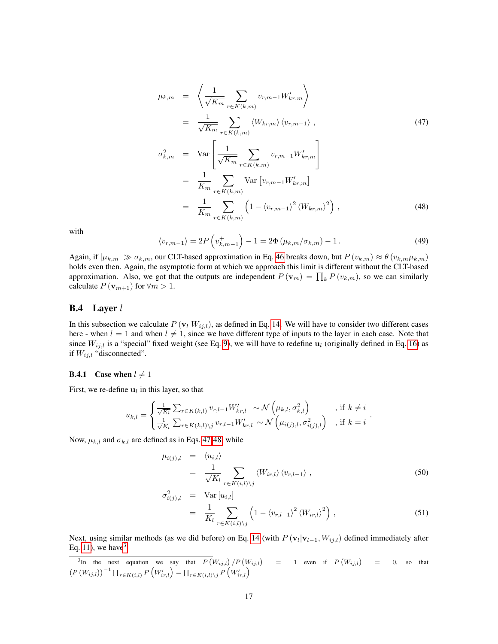<span id="page-16-0"></span>
$$
\mu_{k,m} = \left\langle \frac{1}{\sqrt{K_m}} \sum_{r \in K(k,m)} v_{r,m-1} W'_{kr,m} \right\rangle
$$
  
\n
$$
= \frac{1}{\sqrt{K_m}} \sum_{r \in K(k,m)} \left\langle W_{kr,m} \right\rangle \left\langle v_{r,m-1} \right\rangle, \qquad (47)
$$
  
\n
$$
\sigma_{k,m}^2 = \text{Var} \left[ \frac{1}{\sqrt{K_m}} \sum_{r \in K(k,m)} v_{r,m-1} W'_{kr,m} \right]
$$
  
\n
$$
= \frac{1}{K_m} \sum_{r \in K(k,m)} \text{Var} \left[ v_{r,m-1} W'_{kr,m} \right]
$$
  
\n
$$
= \frac{1}{K_m} \sum_{r \in K(k,m)} \left( 1 - \left\langle v_{r,m-1} \right\rangle^2 \left\langle W_{kr,m} \right\rangle^2 \right), \qquad (48)
$$

with

<span id="page-16-3"></span>
$$
\langle v_{r,m-1} \rangle = 2P \left( v_{k,m-1}^+ \right) - 1 = 2\Phi \left( \mu_{k,m} / \sigma_{k,m} \right) - 1. \tag{49}
$$

Again, if  $|\mu_{k,m}| \gg \sigma_{k,m}$ , our CLT-based approximation in Eq. [46](#page-15-1) breaks down, but  $P(v_{k,m}) \approx \theta(v_{k,m}\mu_{k,m})$ holds even then. Again, the asymptotic form at which we approach this limit is different without the CLT-based approximation. Also, we got that the outputs are independent  $P(\mathbf{v}_m) = \prod_k P(v_{k,m})$ , so we can similarly calculate  $P(\mathbf{v}_{m+1})$  for  $\forall m > 1$ .

### B.4 Layer l

In this subsection we calculate  $P(\mathbf{v}_l|W_{ij,l})$ , as defined in Eq. [14.](#page-4-0) We will have to consider two different cases here - when  $l = 1$  and when  $l \neq 1$ , since we have different type of inputs to the layer in each case. Note that since  $W_{ij,l}$  is a "special" fixed weight (see Eq. [9\)](#page-3-4), we will have to redefine  $u_l$  (originally defined in Eq. [16\)](#page-4-1) as if  $W_{ij,l}$  "disconnected".

### **B.4.1** Case when  $l \neq 1$

First, we re-define  $\mathbf{u}_l$  in this layer, so that

$$
u_{k,l} = \begin{cases} \frac{1}{\sqrt{K_l}} \sum_{r \in K(k,l)} v_{r,l-1} W'_{kr,l} \sim \mathcal{N}\left(\mu_{k,l}, \sigma_{k,l}^2\right) & \text{, if } k \neq i\\ \frac{1}{\sqrt{K_l}} \sum_{r \in K(k,l) \setminus j} v_{r,l-1} W'_{kr,l} \sim \mathcal{N}\left(\mu_{i(j),l}, \sigma_{i(j),l}^2\right) & \text{, if } k = i \end{cases}.
$$

Now,  $\mu_{k,l}$  and  $\sigma_{k,l}$  are defined as in Eqs. [47-48,](#page-16-0) while

<span id="page-16-2"></span>
$$
\mu_{i(j),l} = \langle u_{i,l} \rangle \n= \frac{1}{\sqrt{K_l}} \sum_{r \in K(i,l) \setminus j} \langle W_{ir,l} \rangle \langle v_{r,l-1} \rangle ,
$$
\n(50)

$$
\sigma_{i(j),l}^2 = \text{Var}\left[u_{i,l}\right] \n= \frac{1}{K_l} \sum_{r \in K(i,l) \setminus j} \left(1 - \langle v_{r,l-1} \rangle^2 \langle W_{ir,l} \rangle^2\right),
$$
\n(51)

Next, using similar methods (as we did before) on Eq. [14](#page-4-0) (with  $P(\mathbf{v}_l|\mathbf{v}_{l-1}, W_{ij,l})$  defined immediately after Eq. [11\)](#page-3-5), we have  $3$ 

<span id="page-16-1"></span><sup>&</sup>lt;sup>3</sup>In the next equation we say that  $P(W_{i,j,l})/P(W_{i,j,l})$  = 1 even if  $P(W_{i,j,l})$  = 0, so that  $\left(P\left(W_{ij,l}\right)\right)^{-1} \prod_{r \in K(i,l)} P\left(W'_{ir,l}\right) = \prod_{r \in K(i,l) \setminus j} P\left(W'_{ir,l}\right)$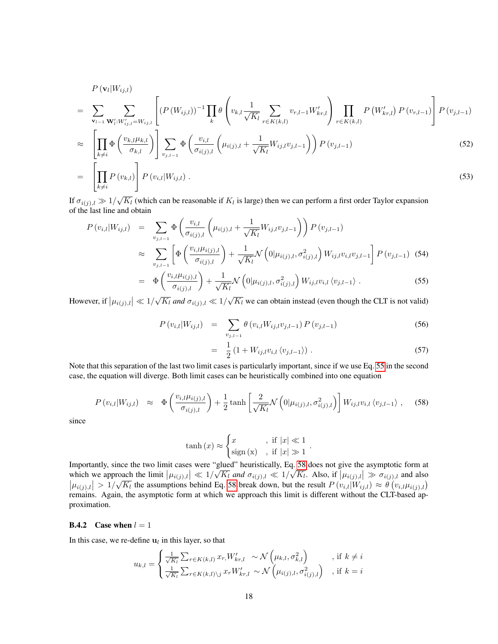$$
P(\mathbf{v}_{l}|W_{ij,l}) = \sum_{\mathbf{v}_{l-1}} \sum_{\mathbf{w}_{l}^{\prime}: W_{ij,l}^{\prime} = W_{ij,l}} \left[ (P(W_{ij,l}))^{-1} \prod_{k} \theta \left( v_{k,l} \frac{1}{\sqrt{K_{l}}} \sum_{r \in K(k,l)} v_{r,l-1} W_{kr,l}^{\prime} \right) \prod_{r \in K(k,l)} P(W_{kr,l}^{\prime}) P(v_{r,l-1}) \right] P(v_{j,l-1})
$$
  
\n
$$
\approx \left[ \prod_{k \neq i} \Phi \left( \frac{v_{k,l} \mu_{k,l}}{\sigma_{k,l}} \right) \right] \sum_{v_{j,l-1}} \Phi \left( \frac{v_{i,l}}{\sigma_{i(j),l}} \left( \mu_{i(j),l} + \frac{1}{\sqrt{K_{l}}} W_{ij,l} v_{j,l-1} \right) \right) P(v_{j,l-1})
$$
(52)  
\n
$$
= \left[ \prod_{k \neq i} P(v_{k,l}) \right] P(v_{i,l}|W_{ij,l}). \qquad (53)
$$

If  $\sigma_{i(j),l} \gg 1/\sqrt{K_l}$  (which can be reasonable if  $K_l$  is large) then we can perform a first order Taylor expansion of the last line and obtain

<span id="page-17-0"></span>
$$
P(v_{i,l}|W_{ij,l}) = \sum_{v_{j,l-1}} \Phi\left(\frac{v_{i,l}}{\sigma_{i(j),l}} \left(\mu_{i(j),l} + \frac{1}{\sqrt{K_l}} W_{ij,l} v_{j,l-1}\right)\right) P(v_{j,l-1})
$$
  
\n
$$
\approx \sum_{v_{j,l-1}} \left[\Phi\left(\frac{v_{i,l}\mu_{i(j),l}}{\sigma_{i(j),l}}\right) + \frac{1}{\sqrt{K_l}} \mathcal{N}\left(0|\mu_{i(j),l}, \sigma_{i(j),l}^2\right) W_{ij,l} v_{i,l} v_{j,l-1}\right] P(v_{j,l-1}) \quad (54)
$$
  
\n
$$
= \Phi\left(\frac{v_{i,l}\mu_{i(j),l}}{\sigma_{i(j),l}}\right) + \frac{1}{\sqrt{K_l}} \mathcal{N}\left(0|\mu_{i(j),l}, \sigma_{i(j),l}^2\right) W_{ij,l} v_{i,l} \langle v_{j,l-1}\rangle .
$$

However, if  $|\mu_{i(j),l}| \ll 1/\sqrt{K_l}$  and  $\sigma_{i(j),l} \ll 1/\sqrt{K_l}$  we can obtain instead (even though the CLT is not valid)

$$
P(v_{i,l}|W_{ij,l}) = \sum_{v_{j,l-1}} \theta(v_{i,l}W_{ij,l}v_{j,l-1}) P(v_{j,l-1})
$$
\n(56)

$$
= \frac{1}{2} (1 + W_{ij,l} v_{i,l} \langle v_{j,l-1} \rangle) . \tag{57}
$$

Note that this separation of the last two limit cases is particularly important, since if we use Eq. [55](#page-17-0) in the second case, the equation will diverge. Both limit cases can be heuristically combined into one equation

<span id="page-17-1"></span>
$$
P(v_{i,l}|W_{ij,l}) \approx \Phi\left(\frac{v_{i,l}\mu_{i(j),l}}{\sigma_{i(j),l}}\right) + \frac{1}{2}\tanh\left[\frac{2}{\sqrt{K_l}}\mathcal{N}\left(0|\mu_{i(j),l},\sigma_{i(j),l}^2\right)\right]W_{ij,l}v_{i,l}\left\langle v_{j,l-1}\right\rangle, \quad (58)
$$

since

$$
\tanh(x) \approx \begin{cases} x & , \text{ if } |x| \ll 1 \\ \text{sign}(x) & , \text{ if } |x| \gg 1 \end{cases}.
$$

Importantly, since the two limit cases were "glued" heuristically, Eq. [58](#page-17-1) does not give the asymptotic form at which we approach the limit  $|\mu_{i(j),l}| \ll 1/\sqrt{K_l}$  and  $\sigma_{i(j),l} \ll 1/\sqrt{K_l}$ . Also, if  $|\mu_{i(j),l}| \gg \sigma_{i(j),l}$  and also  $|\mu_{i(j),l}| > 1/\sqrt{K_l}$  the assumptions behind Eq. [58](#page-17-1) break down, but the result  $P(v_{i,l}|W_{ij,l}) \approx \theta(v_{i,l} \mu_{i(j),l})$ remains. Again, the asymptotic form at which we approach this limit is different without the CLT-based approximation.

### **B.4.2** Case when  $l = 1$

In this case, we re-define  $\mathbf{u}_l$  in this layer, so that

$$
u_{k,l} = \begin{cases} \frac{1}{\sqrt{K_l}} \sum_{r \in K(k,l)} x_r, W'_{kr,l} \sim \mathcal{N}\left(\mu_{k,l}, \sigma_{k,l}^2\right) & \text{, if } k \neq i\\ \frac{1}{\sqrt{K_l}} \sum_{r \in K(k,l) \setminus j} x_r W'_{kr,l} \sim \mathcal{N}\left(\mu_{i(j),l}, \sigma_{i(j),l}^2\right) & \text{, if } k = i \end{cases}
$$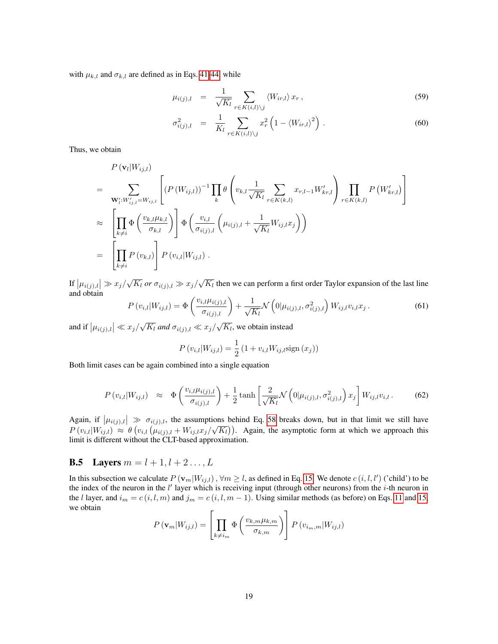with  $\mu_{k,l}$  and  $\sigma_{k,l}$  are defined as in Eqs. [41-44,](#page-15-2) while

$$
\mu_{i(j),l} = \frac{1}{\sqrt{K_l}} \sum_{r \in K(i,l) \setminus j} \langle W_{ir,l} \rangle x_r, \qquad (59)
$$

$$
\sigma_{i(j),l}^2 = \frac{1}{K_l} \sum_{r \in K(i,l) \setminus j} x_r^2 \left( 1 - \langle W_{ir,l} \rangle^2 \right).
$$
\n(60)

Thus, we obtain

$$
P(\mathbf{v}_{l}|W_{ij,l})
$$
\n
$$
= \sum_{\mathbf{W}'_{i}:W'_{ij,l}=W_{ij,l}} \left[ (P(W_{ij,l}))^{-1} \prod_{k} \theta \left( v_{k,l} \frac{1}{\sqrt{K_{l}}} \sum_{r \in K(k,l)} x_{r,l-1} W'_{kr,l} \right) \prod_{r \in K(k,l)} P(W'_{kr,l}) \right]
$$
\n
$$
\approx \left[ \prod_{k \neq i} \Phi \left( \frac{v_{k,l} \mu_{k,l}}{\sigma_{k,l}} \right) \right] \Phi \left( \frac{v_{i,l}}{\sigma_{i(j),l}} \left( \mu_{i(j),l} + \frac{1}{\sqrt{K_{l}}} W_{ij,l} x_{j} \right) \right)
$$
\n
$$
= \left[ \prod_{k \neq i} P(v_{k,l}) \right] P(v_{i,l}|W_{ij,l}).
$$

If  $|\mu_{i(j),l}| \gg x_j/\sqrt{K_l}$  or  $\sigma_{i(j),l} \gg x_j/\sqrt{K_l}$  then we can perform a first order Taylor expansion of the last line and obtain

$$
P(v_{i,l}|W_{ij,l}) = \Phi\left(\frac{v_{i,l}\mu_{i(j),l}}{\sigma_{i(j),l}}\right) + \frac{1}{\sqrt{K_l}} \mathcal{N}\left(0|\mu_{i(j),l}, \sigma_{i(j),l}^2\right) W_{ij,l} v_{i,l} x_j.
$$
(61)

and if  $|\mu_{i(j),l}| \ll x_j/\sqrt{K_l}$  and  $\sigma_{i(j),l} \ll x_j/\sqrt{K_l}$ , we obtain instead

$$
P(v_{i,l}|W_{ij,l}) = \frac{1}{2} (1 + v_{i,l}W_{ij,l} \text{sign}(x_j))
$$

Both limit cases can be again combined into a single equation

<span id="page-18-0"></span>
$$
P(v_{i,l}|W_{ij,l}) \approx \Phi\left(\frac{v_{i,l}\mu_{i(j),l}}{\sigma_{i(j),l}}\right) + \frac{1}{2}\tanh\left[\frac{2}{\sqrt{K_l}}\mathcal{N}\left(0|\mu_{i(j),l}, \sigma_{i(j),l}^2\right)x_j\right]W_{ij,l}v_{i,l}.
$$
 (62)

Again, if  $|\mu_{i(j),l}| \gg \sigma_{i(j),l}$ , the assumptions behind Eq. [58](#page-17-1) breaks down, but in that limit we still have  $P(v_{i,l}|W_{ij,l}) \approx \theta(v_{i,l}(\mu_{i(j),l}+W_{ij,l}x_j/\sqrt{K_l}))$ . Again, the asymptotic form at which we approach this limit is different without the CLT-based approximation.

## **B.5** Layers  $m = l + 1, l + 2, ..., L$

In this subsection we calculate  $P(\mathbf{v}_m|W_{ij,l})$ ,  $\forall m \ge l$ , as defined in Eq. [15.](#page-4-0) We denote  $c(i, l, l')$  ('child') to be the index of the neuron in the  $l'$  layer which is receiving input (through other neurons) from the  $i$ -th neuron in the l layer, and  $i_m = c(i, l, m)$  and  $j_m = c(i, l, m - 1)$ . Using similar methods (as before) on Eqs. [11](#page-3-5) and [15,](#page-4-0) we obtain

$$
P(\mathbf{v}_{m}|W_{ij,l}) = \left[\prod_{k \neq i_m} \Phi\left(\frac{v_{k,m} \mu_{k,m}}{\sigma_{k,m}}\right)\right] P(v_{i_m,m}|W_{ij,l})
$$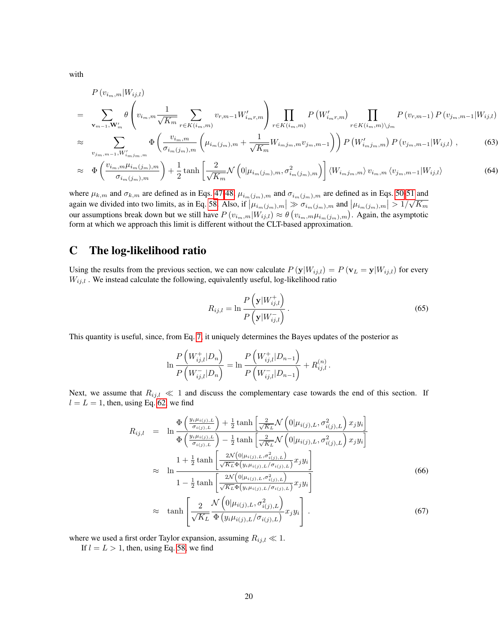with

<span id="page-19-1"></span>
$$
P(v_{i_m,m}|W_{ij,l}) = \sum_{\mathbf{v}_{m-1},\mathbf{W}'_m} \theta \left( v_{i_m,m} \frac{1}{\sqrt{K_m}} \sum_{r \in K(i_m,m)} v_{r,m-1} W'_{i_m r, m} \right) \prod_{r \in K(i_m,m)} P\left( W'_{i_m r, m} \right) \prod_{r \in K(i_m,m) \backslash j_m} P(v_{r,m-1}) P(v_{j_m,m-1}|W_{ij,l})
$$

$$
\approx \sum_{v_{j_m,m-1}, W'_{i_m j_m,m}} \Phi\left(\frac{v_{i_m,m}}{\sigma_{i_m(j_m),m}} \left(\mu_{i_m(j_m),m} + \frac{1}{\sqrt{K_m}} W_{i_m j_m,m} v_{j_m,m-1}\right)\right) P\left(W'_{i_m j_m,m}\right) P\left(v_{j_m,m-1} | W_{i,j,l}\right) \,,\tag{63}
$$

$$
\approx \Phi\left(\frac{v_{i_m,m}\mu_{i_m(j_m),m}}{\sigma_{i_m(j_m),m}}\right) + \frac{1}{2}\tanh\left[\frac{2}{\sqrt{K_m}}\mathcal{N}\left(0|\mu_{i_m(j_m),m},\sigma^2_{i_m(j_m),m}\right)\right] \langle W_{i_mj_m,m}\rangle v_{i_m,m} \langle v_{j_m,m-1}|W_{ij,l}\rangle \tag{64}
$$

where  $\mu_{k,m}$  and  $\sigma_{k,m}$  are defined as in Eqs. [47-48,](#page-16-0)  $\mu_{i_m(j_m),m}$  and  $\sigma_{i_m(j_m),m}$  are defined as in Eqs. [50-51](#page-16-2) and again we divided into two limits, as in Eq. [58.](#page-17-1) Also, if  $|\mu_{i_m(j_m),m}| \gg \sigma_{i_m(j_m),m}$  and  $|\mu_{i_m(j_m),m}| > 1/\sqrt{K_m}$ our assumptions break down but we still have  $P(v_{i_m,m}|W_{ij,l}) \approx \theta(v_{i_m,m}\mu_{i_m(j_m),m})$ . Again, the asymptotic form at which we approach this limit is different without the CLT-based approximation.

# <span id="page-19-0"></span>C The log-likelihood ratio

Using the results from the previous section, we can now calculate  $P(\mathbf{y}|W_{ij,l}) = P(\mathbf{v}_L = \mathbf{y}|W_{ij,l})$  for every  $W_{ij,l}$ . We instead calculate the following, equivalently useful, log-likelihood ratio

<span id="page-19-2"></span>
$$
R_{ij,l} = \ln \frac{P\left(\mathbf{y}|W_{ij,l}^+\right)}{P\left(\mathbf{y}|W_{ij,l}^-\right)}\,. \tag{65}
$$

This quantity is useful, since, from Eq. [7,](#page-3-1) it uniquely determines the Bayes updates of the posterior as

$$
\ln \frac{P\left(W_{ij,l}^+|D_n\right)}{P\left(W_{ij,l}^-|D_n\right)} = \ln \frac{P\left(W_{ij,l}^+|D_{n-1}\right)}{P\left(W_{ij,l}^-|D_{n-1}\right)} + R_{ij,l}^{(n)}.
$$

Next, we assume that  $R_{ij,l} \ll 1$  and discuss the complementary case towards the end of this section. If  $l = L = 1$ , then, using Eq. [62,](#page-18-0) we find

$$
R_{ij,l} = \ln \frac{\Phi\left(\frac{y_i \mu_{i(j),L}}{\sigma_{i(j),L}}\right) + \frac{1}{2} \tanh\left[\frac{2}{\sqrt{K_L}} \mathcal{N}\left(0 | \mu_{i(j),L}, \sigma_{i(j),L}^2\right) x_j y_i\right]}{\Phi\left(\frac{y_i \mu_{i(j),L}}{\sigma_{i(j),L}}\right) - \frac{1}{2} \tanh\left[\frac{2}{\sqrt{K_L}} \mathcal{N}\left(0 | \mu_{i(j),L}, \sigma_{i(j),L}^2\right) x_j y_i\right]}
$$
  
\n
$$
\approx \ln \frac{1 + \frac{1}{2} \tanh\left[\frac{2\mathcal{N}\left(0 | \mu_{i(j),L}, \sigma_{i(j),L}^2\right)}{\sqrt{K_L} \Phi\left(y_i \mu_{i(j),L}, \sigma_{i(j),L}\right)} x_j y_i\right]}{1 - \frac{1}{2} \tanh\left[\frac{2\mathcal{N}\left(0 | \mu_{i(j),L}, \sigma_{i(j),L}^2\right)}{\sqrt{K_L} \Phi\left(y_i \mu_{i(j),L}, \sigma_{i(j),L}\right)} x_j y_i\right]}
$$
(66)  
\n
$$
\approx \tanh \left[\frac{2}{\sqrt{K_L}} \frac{\mathcal{N}\left(0 | \mu_{i(j),L}, \sigma_{i(j),L}^2\right)}{\Phi\left(y_i \mu_{i(j),L}, \sigma_{i(j),L}\right)} x_j y_i\right].
$$

where we used a first order Taylor expansion, assuming  $R_{ij,l} \ll 1$ .

If  $l = L > 1$ , then, using Eq. [58,](#page-17-1) we find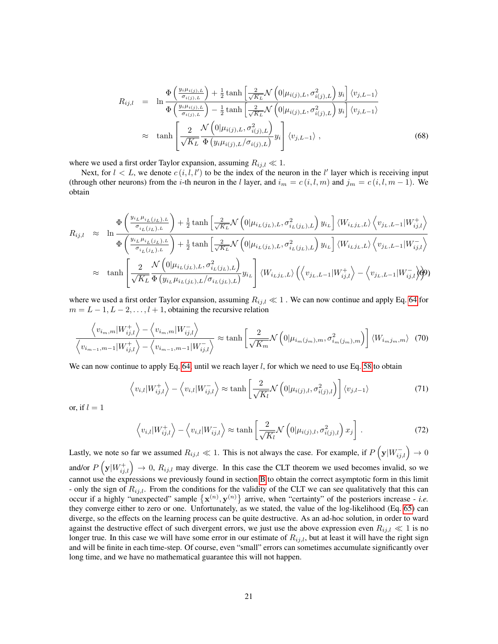$$
R_{ij,l} = \ln \frac{\Phi\left(\frac{y_i\mu_{i(j),L}}{\sigma_{i(j),L}}\right) + \frac{1}{2}\tanh\left[\frac{2}{\sqrt{K_L}}\mathcal{N}\left(0|\mu_{i(j),L}, \sigma_{i(j),L}^2\right)y_i\right]\langle v_{j,L-1}\rangle}{\Phi\left(\frac{y_i\mu_{i(j),L}}{\sigma_{i(j),L}}\right) - \frac{1}{2}\tanh\left[\frac{2}{\sqrt{K_L}}\mathcal{N}\left(0|\mu_{i(j),L}, \sigma_{i(j),L}^2\right)y_i\right]\langle v_{j,L-1}\rangle}
$$
  
 
$$
\approx \tanh \left[\frac{2}{\sqrt{K_L}}\frac{\mathcal{N}\left(0|\mu_{i(j),L}, \sigma_{i(j),L}^2\right)}{\Phi\left(y_i\mu_{i(j),L}/\sigma_{i(j),L}\right)}y_i\right]\langle v_{j,L-1}\rangle , \qquad (68)
$$

where we used a first order Taylor expansion, assuming  $R_{ij,l} \ll 1$ .

Next, for  $l < L$ , we denote  $c(i, l, l')$  to be the index of the neuron in the l' layer which is receiving input (through other neurons) from the *i*-th neuron in the *l* layer, and  $i_m = c(i, l, m)$  and  $j_m = c(i, l, m - 1)$ . We obtain

<span id="page-20-0"></span>
$$
R_{ij,l} \approx \ln \frac{\Phi\left(\frac{y_{i_L}\mu_{i_L(j_L),L}}{\sigma_{i_L(j_L),L}}\right) + \frac{1}{2}\tanh\left[\frac{2}{\sqrt{K_L}}\mathcal{N}\left(0|\mu_{i_L(j_L),L}, \sigma_{i_L(j_L),L}^2\right)y_{i_L}\right] \langle W_{i_Lj_L,L}\rangle \langle v_{j_L,L-1}|W_{ij,l}^+\rangle}{\Phi\left(\frac{y_{i_L}\mu_{i_L(j_L),L}}{\sigma_{i_L(j_L),L}}\right) + \frac{1}{2}\tanh\left[\frac{2}{\sqrt{K_L}}\mathcal{N}\left(0|\mu_{i_L(j_L),L}, \sigma_{i_L(j_L),L}^2\right)y_{i_L}\right] \langle W_{i_Lj_L,L}\rangle \langle v_{j_L,L-1}|W_{ij,l}^-\rangle}
$$
  

$$
\approx \tanh \left[\frac{2}{\sqrt{K_L}}\frac{\mathcal{N}\left(0|\mu_{i_L(j_L),L}, \sigma_{i_L(j_L),L}^2\right)}{\Phi\left(y_{i_L}\mu_{i_L(j_L),L}/\sigma_{i_L(j_L),L}\right)}y_{i_L}\right] \langle W_{i_Lj_L,L}\rangle \left(\langle v_{j_L,L-1}|W_{ij,l}^+\rangle - \langle v_{j_L,L-1}|W_{ij,l}^+\rangle\right)\rangle
$$

where we used a first order Taylor expansion, assuming  $R_{ij,l} \ll 1$ . We can now continue and apply Eq. [64](#page-19-1) for  $m = L - 1, L - 2, \ldots, l + 1$ , obtaining the recursive relation

$$
\frac{\langle v_{i_m,m}|W_{ij,l}^+\rangle - \langle v_{i_m,m}|W_{ij,l}^-\rangle}{\langle v_{i_{m-1},m-1}|W_{ij,l}^+\rangle - \langle v_{i_{m-1},m-1}|W_{ij,l}^-\rangle} \approx \tanh\left[\frac{2}{\sqrt{K_m}}\mathcal{N}\left(0|\mu_{i_m(j_m),m}, \sigma_{i_m(j_m),m}^2\right)\right] \langle W_{i_mj_m,m}\rangle \tag{70}
$$

We can now continue to apply Eq. [64,](#page-19-1) until we reach layer  $l$ , for which we need to use Eq. [58](#page-17-1) to obtain

<span id="page-20-1"></span>
$$
\left\langle v_{i,l} | W_{ij,l}^+ \right\rangle - \left\langle v_{i,l} | W_{ij,l}^- \right\rangle \approx \tanh\left[\frac{2}{\sqrt{K_l}} \mathcal{N}\left(0 | \mu_{i(j),l}, \sigma_{i(j),l}^2\right) \right] \langle v_{j,l-1} \rangle \tag{71}
$$

or, if  $l = 1$ 

$$
\left\langle v_{i,l}|W_{ij,l}^{+}\right\rangle - \left\langle v_{i,l}|W_{ij,l}^{-}\right\rangle \approx \tanh\left[\frac{2}{\sqrt{K_l}}\mathcal{N}\left(0|\mu_{i(j),l},\sigma_{i(j),l}^2\right)x_j\right].
$$
\n(72)

Lastly, we note so far we assumed  $R_{ij,l} \ll 1$ . This is not always the case. For example, if  $P(\mathbf{y}|W_{ij,l}^{-}) \to 0$ and/or  $P\left(\mathbf{y}|W_{ij,l}^{+}\right) \to 0$ ,  $R_{ij,l}$  may diverge. In this case the CLT theorem we used becomes invalid, so we cannot use the expressions we previously found in section [B](#page-14-0) to obtain the correct asymptotic form in this limit - only the sign of  $R_{ij,l}$ . From the conditions for the validity of the CLT we can see qualitatively that this can occur if a highly "unexpected" sample  $\{x^{(n)}, y^{(n)}\}$  arrive, when "certainty" of the posteriors increase - *i.e.* they converge either to zero or one. Unfortunately, as we stated, the value of the log-likelihood (Eq. [65\)](#page-19-2) can diverge, so the effects on the learning process can be quite destructive. As an ad-hoc solution, in order to ward against the destructive effect of such divergent errors, we just use the above expression even  $R_{ij,l} \ll 1$  is no longer true. In this case we will have some error in our estimate of  $R_{i,i,l}$ , but at least it will have the right sign and will be finite in each time-step. Of course, even "small" errors can sometimes accumulate significantly over long time, and we have no mathematical guarantee this will not happen.